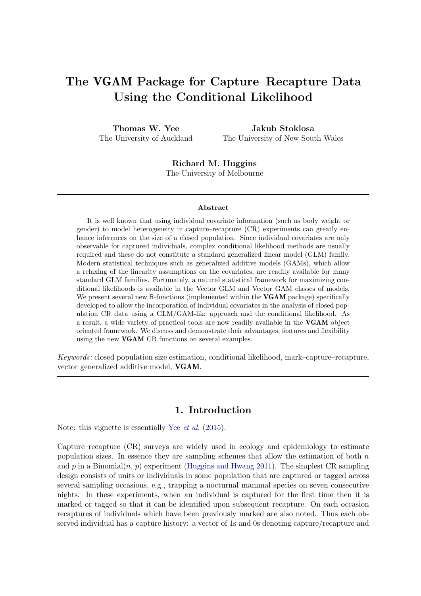# The VGAM Package for Capture–Recapture Data Using the Conditional Likelihood

Thomas W. Yee The University of Auckland

Jakub Stoklosa The University of New South Wales

Richard M. Huggins The University of Melbourne

#### Abstract

It is well known that using individual covariate information (such as body weight or gender) to model heterogeneity in capture–recapture (CR) experiments can greatly enhance inferences on the size of a closed population. Since individual covariates are only observable for captured individuals, complex conditional likelihood methods are usually required and these do not constitute a standard generalized linear model (GLM) family. Modern statistical techniques such as generalized additive models (GAMs), which allow a relaxing of the linearity assumptions on the covariates, are readily available for many standard GLM families. Fortunately, a natural statistical framework for maximizing conditional likelihoods is available in the Vector GLM and Vector GAM classes of models. We present several new R-functions (implemented within the **VGAM** package) specifically developed to allow the incorporation of individual covariates in the analysis of closed population CR data using a GLM/GAM-like approach and the conditional likelihood. As a result, a wide variety of practical tools are now readily available in the VGAM object oriented framework. We discuss and demonstrate their advantages, features and flexibility using the new VGAM CR functions on several examples.

Keywords: closed population size estimation, conditional likelihood, mark–capture–recapture, vector generalized additive model, VGAM.

### 1. Introduction

<span id="page-0-0"></span>Note: this vignette is essentially Yee *[et al.](#page-28-0)* [\(2015\)](#page-28-0).

Capture–recapture (CR) surveys are widely used in ecology and epidemiology to estimate population sizes. In essence they are sampling schemes that allow the estimation of both  $n$ and p in a Binomial $(n, p)$  experiment [\(Huggins and Hwang](#page-26-0) [2011\)](#page-26-0). The simplest CR sampling design consists of units or individuals in some population that are captured or tagged across several sampling occasions, e.g., trapping a nocturnal mammal species on seven consecutive nights. In these experiments, when an individual is captured for the first time then it is marked or tagged so that it can be identified upon subsequent recapture. On each occasion recaptures of individuals which have been previously marked are also noted. Thus each observed individual has a capture history: a vector of 1s and 0s denoting capture/recapture and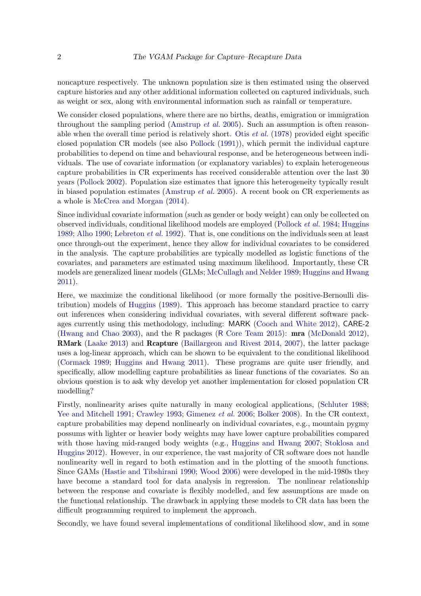noncapture respectively. The unknown population size is then estimated using the observed capture histories and any other additional information collected on captured individuals, such as weight or sex, along with environmental information such as rainfall or temperature.

We consider closed populations, where there are no births, deaths, emigration or immigration throughout the sampling period [\(Amstrup](#page-26-1) *et al.* [2005\)](#page-26-1). Such an assumption is often reasonable when the overall time period is relatively short. Otis [et al.](#page-27-0) [\(1978\)](#page-27-0) provided eight specific closed population CR models (see also [Pollock](#page-27-1) [\(1991\)](#page-27-1)), which permit the individual capture probabilities to depend on time and behavioural response, and be heterogeneous between individuals. The use of covariate information (or explanatory variables) to explain heterogeneous capture probabilities in CR experiments has received considerable attention over the last 30 years [\(Pollock](#page-27-2) [2002\)](#page-27-2). Population size estimates that ignore this heterogeneity typically result in biased population estimates [\(Amstrup](#page-26-1) *et al.* [2005\)](#page-26-1). A recent book on CR experiements as a whole is [McCrea and Morgan](#page-27-3) [\(2014\)](#page-27-3).

Since individual covariate information (such as gender or body weight) can only be collected on observed individuals, conditional likelihood models are employed [\(Pollock](#page-27-4) et al. [1984;](#page-27-4) [Huggins](#page-26-2) [1989;](#page-26-2) [Alho](#page-26-3) [1990;](#page-26-3) [Lebreton](#page-27-5) et al. [1992\)](#page-27-5). That is, one conditions on the individuals seen at least once through-out the experiment, hence they allow for individual covariates to be considered in the analysis. The capture probabilities are typically modelled as logistic functions of the covariates, and parameters are estimated using maximum likelihood. Importantly, these CR models are generalized linear models (GLMs; [McCullagh and Nelder](#page-27-6) [1989;](#page-27-6) [Huggins and Hwang](#page-26-0) [2011\)](#page-26-0).

Here, we maximize the conditional likelihood (or more formally the positive-Bernoulli distribution) models of [Huggins](#page-26-2) [\(1989\)](#page-26-2). This approach has become standard practice to carry out inferences when considering individual covariates, with several different software packages currently using this methodology, including: MARK [\(Cooch and White](#page-26-4) [2012\)](#page-26-4), CARE-2 [\(Hwang and Chao](#page-27-7) [2003\)](#page-27-7), and the R packages (R [Core Team](#page-28-1) [2015\)](#page-28-1): mra [\(McDonald](#page-27-8) [2012\)](#page-27-8), RMark [\(Laake](#page-27-9) [2013\)](#page-27-9) and Rcapture [\(Baillargeon and Rivest](#page-26-5) [2014,](#page-26-5) [2007\)](#page-26-6), the latter package uses a log-linear approach, which can be shown to be equivalent to the conditional likelihood [\(Cormack](#page-26-7) [1989;](#page-26-7) [Huggins and Hwang](#page-26-0) [2011\)](#page-26-0). These programs are quite user friendly, and specifically, allow modelling capture probabilities as linear functions of the covariates. So an obvious question is to ask why develop yet another implementation for closed population CR modelling?

Firstly, nonlinearity arises quite naturally in many ecological applications, [\(Schluter](#page-28-2) [1988;](#page-28-2) [Yee and Mitchell](#page-28-3) [1991;](#page-28-3) [Crawley](#page-26-8) [1993;](#page-26-8) [Gimenez](#page-26-9) et al. [2006;](#page-26-9) [Bolker](#page-26-10) [2008\)](#page-26-10). In the CR context, capture probabilities may depend nonlinearly on individual covariates, e.g., mountain pygmy possums with lighter or heavier body weights may have lower capture probabilities compared with those having mid-ranged body weights (e.g., [Huggins and Hwang](#page-26-11) [2007;](#page-26-11) [Stoklosa and](#page-28-4) [Huggins](#page-28-4) [2012\)](#page-28-4). However, in our experience, the vast majority of CR software does not handle nonlinearity well in regard to both estimation and in the plotting of the smooth functions. Since GAMs [\(Hastie and Tibshirani](#page-26-12) [1990;](#page-26-12) [Wood](#page-28-5) [2006\)](#page-28-5) were developed in the mid-1980s they have become a standard tool for data analysis in regression. The nonlinear relationship between the response and covariate is flexibly modelled, and few assumptions are made on the functional relationship. The drawback in applying these models to CR data has been the difficult programming required to implement the approach.

Secondly, we have found several implementations of conditional likelihood slow, and in some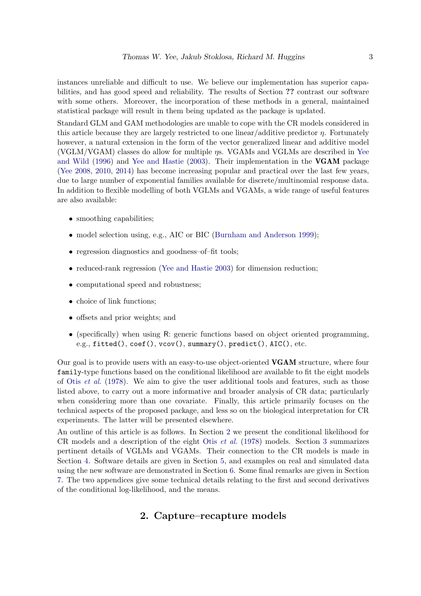instances unreliable and difficult to use. We believe our implementation has superior capabilities, and has good speed and reliability. The results of Section ?? contrast our software with some others. Moreover, the incorporation of these methods in a general, maintained statistical package will result in them being updated as the package is updated.

Standard GLM and GAM methodologies are unable to cope with the CR models considered in this article because they are largely restricted to one linear/additive predictor  $\eta$ . Fortunately however, a natural extension in the form of the vector generalized linear and additive model (VGLM/VGAM) classes do allow for multiple ηs. VGAMs and VGLMs are described in [Yee](#page-28-6) [and Wild](#page-28-6) [\(1996\)](#page-28-6) and [Yee and Hastie](#page-28-7) [\(2003\)](#page-28-7). Their implementation in the VGAM package [\(Yee](#page-28-8) [2008,](#page-28-8) [2010,](#page-28-9) [2014\)](#page-28-10) has become increasing popular and practical over the last few years, due to large number of exponential families available for discrete/multinomial response data. In addition to flexible modelling of both VGLMs and VGAMs, a wide range of useful features are also available:

- smoothing capabilities;
- model selection using, e.g., AIC or BIC [\(Burnham and Anderson](#page-26-13) [1999\)](#page-26-13);
- regression diagnostics and goodness-of-fit tools;
- reduced-rank regression [\(Yee and Hastie](#page-28-7) [2003\)](#page-28-7) for dimension reduction;
- computational speed and robustness;
- choice of link functions;
- offsets and prior weights; and
- (specifically) when using R: generic functions based on object oriented programming, e.g., fitted(), coef(), vcov(), summary(), predict(), AIC(), etc.

Our goal is to provide users with an easy-to-use object-oriented VGAM structure, where four family-type functions based on the conditional likelihood are available to fit the eight models of Otis *[et al.](#page-27-0)* [\(1978\)](#page-27-0). We aim to give the user additional tools and features, such as those listed above, to carry out a more informative and broader analysis of CR data; particularly when considering more than one covariate. Finally, this article primarily focuses on the technical aspects of the proposed package, and less so on the biological interpretation for CR experiments. The latter will be presented elsewhere.

<span id="page-2-0"></span>An outline of this article is as follows. In Section [2](#page-2-0) we present the conditional likelihood for CR models and a description of the eight Otis [et al.](#page-27-0) [\(1978\)](#page-27-0) models. Section [3](#page-5-0) summarizes pertinent details of VGLMs and VGAMs. Their connection to the CR models is made in Section [4.](#page-9-0) Software details are given in Section [5,](#page-11-0) and examples on real and simulated data using the new software are demonstrated in Section [6.](#page-14-0) Some final remarks are given in Section [7.](#page-24-0) The two appendices give some technical details relating to the first and second derivatives of the conditional log-likelihood, and the means.

### 2. Capture–recapture models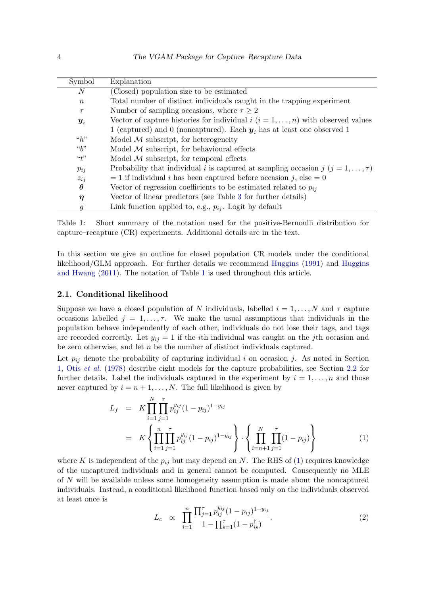| Symbol             | Explanation                                                                            |
|--------------------|----------------------------------------------------------------------------------------|
| $\boldsymbol{N}$   | (Closed) population size to be estimated                                               |
| $\boldsymbol{n}$   | Total number of distinct individuals caught in the trapping experiment                 |
| $\tau$             | Number of sampling occasions, where $\tau \geq 2$                                      |
| $\boldsymbol{y}_i$ | Vector of capture histories for individual i $(i = 1, \ldots, n)$ with observed values |
|                    | 1 (captured) and 0 (noncaptured). Each $y_i$ has at least one observed 1               |
| ``h"               | Model $M$ subscript, for heterogeneity                                                 |
| ``b"               | Model $M$ subscript, for behavioural effects                                           |
| $\lq t$            | Model $M$ subscript, for temporal effects                                              |
| $p_{ij}$           | Probability that individual i is captured at sampling occasion j $(j = 1, , \tau)$     |
| $z_{ij}$           | $= 1$ if individual <i>i</i> has been captured before occasion <i>j</i> , else = 0     |
| $\theta$           | Vector of regression coefficients to be estimated related to $p_{ij}$                  |
| $\eta$             | Vector of linear predictors (see Table 3 for further details)                          |
| $\mathfrak{g}$     | Link function applied to, e.g., $p_{ij}$ . Logit by default                            |

<span id="page-3-0"></span>Table 1: Short summary of the notation used for the positive-Bernoulli distribution for capture–recapture (CR) experiments. Additional details are in the text.

In this section we give an outline for closed population CR models under the conditional likelihood/GLM approach. For further details we recommend [Huggins](#page-26-14) [\(1991\)](#page-26-14) and [Huggins](#page-26-0) [and Hwang](#page-26-0) [\(2011\)](#page-26-0). The notation of Table [1](#page-3-0) is used throughout this article.

#### 2.1. Conditional likelihood

Suppose we have a closed population of N individuals, labelled  $i = 1, \ldots, N$  and  $\tau$  capture occasions labelled  $j = 1, \ldots, \tau$ . We make the usual assumptions that individuals in the population behave independently of each other, individuals do not lose their tags, and tags are recorded correctly. Let  $y_{ij} = 1$  if the *i*th individual was caught on the *j*th occasion and be zero otherwise, and let  $n$  be the number of distinct individuals captured.

Let  $p_{ij}$  denote the probability of capturing individual i on occasion j. As noted in Section [1,](#page-0-0) Otis [et al.](#page-27-0) [\(1978\)](#page-27-0) describe eight models for the capture probabilities, see Section [2.2](#page-4-0) for further details. Label the individuals captured in the experiment by  $i = 1, \ldots, n$  and those never captured by  $i = n + 1, ..., N$ . The full likelihood is given by

<span id="page-3-1"></span>
$$
L_f = K \prod_{i=1}^N \prod_{j=1}^\tau p_{ij}^{y_{ij}} (1 - p_{ij})^{1 - y_{ij}}
$$
  
=  $K \left\{ \prod_{i=1}^n \prod_{j=1}^\tau p_{ij}^{y_{ij}} (1 - p_{ij})^{1 - y_{ij}} \right\} \cdot \left\{ \prod_{i=n+1}^N \prod_{j=1}^\tau (1 - p_{ij}) \right\}$  (1)

where K is independent of the  $p_{ij}$  but may depend on N. The RHS of [\(1\)](#page-3-1) requires knowledge of the uncaptured individuals and in general cannot be computed. Consequently no MLE of N will be available unless some homogeneity assumption is made about the noncaptured individuals. Instead, a conditional likelihood function based only on the individuals observed at least once is

<span id="page-3-2"></span>
$$
L_c \propto \prod_{i=1}^n \frac{\prod_{j=1}^{\tau} p_{ij}^{y_{ij}} (1 - p_{ij})^{1 - y_{ij}}}{1 - \prod_{s=1}^{\tau} (1 - p_{is}^{\dagger})}.
$$
 (2)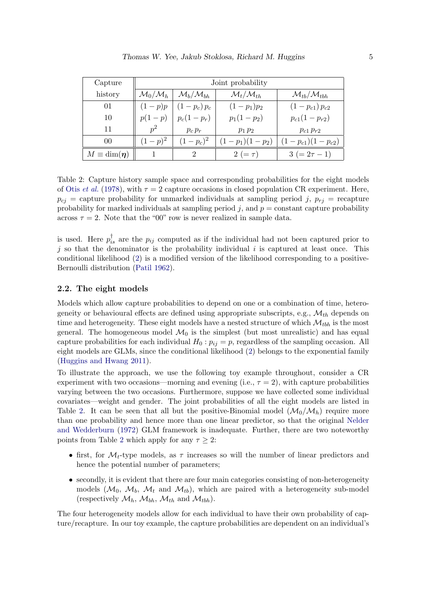| Capture               | Joint probability             |                                  |                                  |                                      |  |
|-----------------------|-------------------------------|----------------------------------|----------------------------------|--------------------------------------|--|
| history               | $\mathcal{M}_0/\mathcal{M}_h$ | $\mathcal{M}_b/\mathcal{M}_{bh}$ | $\mathcal{M}_t/\mathcal{M}_{th}$ | $\mathcal{M}_{tb}/\mathcal{M}_{tbh}$ |  |
| 01                    | $(1-p)p$                      | $(1-p_c)p_c$                     | $(1-p_1)p_2$                     | $(1-p_{c1}) p_{c2}$                  |  |
| 10                    | $p(1-p)$                      | $p_c(1-p_r)$                     | $p_1(1-p_2)$                     | $p_{c1}(1-p_{r2})$                   |  |
| 11                    | $v^2$                         | $p_c p_r$                        | $p_1 p_2$                        | $p_{c1} p_{r2}$                      |  |
| 00                    | $(1-p)^2$                     | $(1-p_c)^2$                      | $(1-p_1)(1-p_2)$                 | $(1-p_{c1})(1-p_{c2})$               |  |
| $M \equiv \dim(\eta)$ |                               | 2                                | 2 ( $=\tau$ )                    | $3 (= 2\tau - 1)$                    |  |

<span id="page-4-1"></span>Table 2: Capture history sample space and corresponding probabilities for the eight models of Otis *[et al.](#page-27-0)* [\(1978\)](#page-27-0), with  $\tau = 2$  capture occasions in closed population CR experiment. Here,  $p_{ci}$  = capture probability for unmarked individuals at sampling period j,  $p_{ri}$  = recapture probability for marked individuals at sampling period j, and  $p = constant$  capture probability across  $\tau = 2$ . Note that the "00" row is never realized in sample data.

is used. Here  $p_{is}^{\dagger}$  are the  $p_{ij}$  computed as if the individual had not been captured prior to j so that the denominator is the probability individual i is captured at least once. This conditional likelihood [\(2\)](#page-3-2) is a modified version of the likelihood corresponding to a positive-Bernoulli distribution [\(Patil](#page-27-10) [1962\)](#page-27-10).

#### <span id="page-4-0"></span>2.2. The eight models

Models which allow capture probabilities to depend on one or a combination of time, heterogeneity or behavioural effects are defined using appropriate subscripts, e.g.,  $\mathcal{M}_{th}$  depends on time and heterogeneity. These eight models have a nested structure of which  $\mathcal{M}_{tbb}$  is the most general. The homogeneous model  $\mathcal{M}_0$  is the simplest (but most unrealistic) and has equal capture probabilities for each individual  $H_0: p_{ij} = p$ , regardless of the sampling occasion. All eight models are GLMs, since the conditional likelihood [\(2\)](#page-3-2) belongs to the exponential family [\(Huggins and Hwang](#page-26-0) [2011\)](#page-26-0).

To illustrate the approach, we use the following toy example throughout, consider a CR experiment with two occasions—morning and evening (i.e.,  $\tau = 2$ ), with capture probabilities varying between the two occasions. Furthermore, suppose we have collected some individual covariates—weight and gender. The joint probabilities of all the eight models are listed in Table [2.](#page-4-1) It can be seen that all but the positive-Binomial model  $(\mathcal{M}_0/\mathcal{M}_h)$  require more than one probability and hence more than one linear predictor, so that the original [Nelder](#page-27-11) [and Wedderburn](#page-27-11) [\(1972\)](#page-27-11) GLM framework is inadequate. Further, there are two noteworthy points from Table [2](#page-4-1) which apply for any  $\tau \geq 2$ :

- first, for  $\mathcal{M}_t$ -type models, as  $\tau$  increases so will the number of linear predictors and hence the potential number of parameters;
- secondly, it is evident that there are four main categories consisting of non-heterogeneity models  $(\mathcal{M}_0, \mathcal{M}_b, \mathcal{M}_t$  and  $\mathcal{M}_{tb}$ , which are paired with a heterogeneity sub-model (respectively  $\mathcal{M}_h$ ,  $\mathcal{M}_{bh}$ ,  $\mathcal{M}_{th}$  and  $\mathcal{M}_{tbh}$ ).

The four heterogeneity models allow for each individual to have their own probability of capture/recapture. In our toy example, the capture probabilities are dependent on an individual's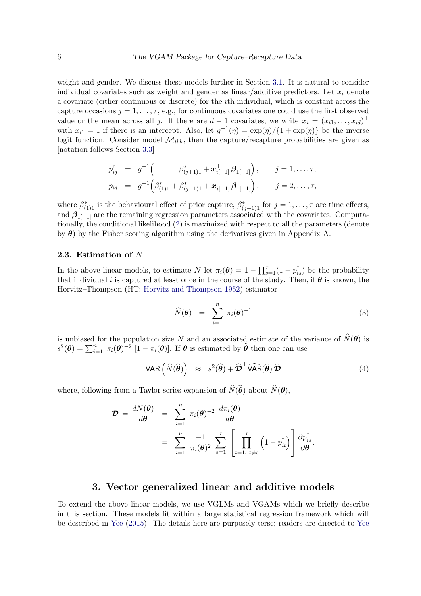weight and gender. We discuss these models further in Section [3.1.](#page-6-0) It is natural to consider individual covariates such as weight and gender as linear/additive predictors. Let  $x_i$  denote a covariate (either continuous or discrete) for the ith individual, which is constant across the capture occasions  $j = 1, \ldots, \tau$ , e.g., for continuous covariates one could use the first observed value or the mean across all j. If there are  $d-1$  covariates, we write  $\mathbf{x}_i = (x_{i1}, \ldots, x_{id})^\top$ with  $x_{i1} = 1$  if there is an intercept. Also, let  $g^{-1}(\eta) = \exp(\eta)/\{1 + \exp(\eta)\}\)$  be the inverse logit function. Consider model  $\mathcal{M}_{tbh}$ , then the capture/recapture probabilities are given as [notation follows Section [3.3\]](#page-8-0)

$$
p_{ij}^{\dagger} = g^{-1} \left( \beta_{(j+1)1}^{*} + \mathbf{x}_{i[-1]}^{\top} \beta_{1[-1]} \right), \quad j = 1, ..., \tau,
$$
  
\n
$$
p_{ij} = g^{-1} \left( \beta_{(1)1}^{*} + \beta_{(j+1)1}^{*} + \mathbf{x}_{i[-1]}^{\top} \beta_{1[-1]} \right), \quad j = 2, ..., \tau,
$$

where  $\beta^*_{(1)1}$  is the behavioural effect of prior capture,  $\beta^*_{(j+1)1}$  for  $j = 1, \ldots, \tau$  are time effects, and  $\beta_{1}$ [−1] are the remaining regression parameters associated with the covariates. Computationally, the conditional likelihood [\(2\)](#page-3-2) is maximized with respect to all the parameters (denote by  $\theta$ ) by the Fisher scoring algorithm using the derivatives given in Appendix A.

#### 2.3. Estimation of N

In the above linear models, to estimate N let  $\pi_i(\theta) = 1 - \prod_{s=1}^{\tau} (1 - p_{is}^{\dagger})$  be the probability that individual i is captured at least once in the course of the study. Then, if  $\theta$  is known, the Horvitz–Thompson (HT; [Horvitz and Thompson](#page-26-15) [1952\)](#page-26-15) estimator

<span id="page-5-1"></span>
$$
\widehat{N}(\boldsymbol{\theta}) = \sum_{i=1}^{n} \pi_i(\boldsymbol{\theta})^{-1}
$$
\n(3)

.

is unbiased for the population size N and an associated estimate of the variance of  $\hat{N}(\theta)$  is  $s^2(\theta) = \sum_{i=1}^n \pi_i(\theta)^{-2} [1 - \pi_i(\theta)].$  If  $\theta$  is estimated by  $\hat{\theta}$  then one can use

<span id="page-5-2"></span>
$$
\text{VAR} \left( \widehat{N}(\widehat{\boldsymbol{\theta}}) \right) \approx s^2(\widehat{\boldsymbol{\theta}}) + \widehat{\boldsymbol{\mathcal{D}}}^{\top} \widehat{\text{VAR}}(\widehat{\boldsymbol{\theta}}) \widehat{\boldsymbol{\mathcal{D}}} \tag{4}
$$

where, following from a Taylor series expansion of  $\widehat{N}(\widehat{\theta})$  about  $\widehat{N}(\theta)$ ,

$$
\mathcal{D} = \frac{dN(\boldsymbol{\theta})}{d\boldsymbol{\theta}} = \sum_{i=1}^{n} \pi_i(\boldsymbol{\theta})^{-2} \frac{d\pi_i(\boldsymbol{\theta})}{d\boldsymbol{\theta}}
$$

$$
= \sum_{i=1}^{n} \frac{-1}{\pi_i(\boldsymbol{\theta})^2} \sum_{s=1}^{\tau} \left[ \prod_{t=1, t \neq s}^{\tau} \left(1 - p_{it}^{\dagger}\right) \right] \frac{\partial p_{is}^{\dagger}}{\partial \boldsymbol{\theta}}
$$

### 3. Vector generalized linear and additive models

<span id="page-5-0"></span>To extend the above linear models, we use VGLMs and VGAMs which we briefly describe in this section. These models fit within a large statistical regression framework which will be described in [Yee](#page-28-11) [\(2015\)](#page-28-11). The details here are purposely terse; readers are directed to [Yee](#page-28-8)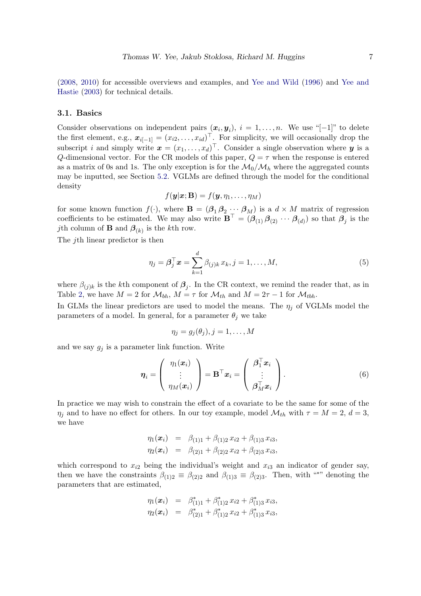[\(2008,](#page-28-8) [2010\)](#page-28-9) for accessible overviews and examples, and [Yee and Wild](#page-28-6) [\(1996\)](#page-28-6) and [Yee and](#page-28-7) [Hastie](#page-28-7) [\(2003\)](#page-28-7) for technical details.

#### <span id="page-6-0"></span>3.1. Basics

Consider observations on independent pairs  $(x_i, y_i)$ ,  $i = 1, \ldots, n$ . We use "[−1]" to delete the first element, e.g.,  $\boldsymbol{x}_{i[-1]} = (x_{i2}, \ldots, x_{id})^\top$ . For simplicity, we will occasionally drop the subscript i and simply write  $\boldsymbol{x} = (x_1, \ldots, x_d)^\top$ . Consider a single observation where  $\boldsymbol{y}$  is a Q-dimensional vector. For the CR models of this paper,  $Q = \tau$  when the response is entered as a matrix of 0s and 1s. The only exception is for the  $\mathcal{M}_0/\mathcal{M}_h$  where the aggregated counts may be inputted, see Section [5.2.](#page-12-0) VGLMs are defined through the model for the conditional density

$$
f(\mathbf{y}|\mathbf{x};\mathbf{B})=f(\mathbf{y},\eta_1,\ldots,\eta_M)
$$

for some known function  $f(\cdot)$ , where  $\mathbf{B} = (\beta_1 \beta_2 \cdots \beta_M)$  is a  $d \times M$  matrix of regression coefficients to be estimated. We may also write  $\mathbf{B}^{\top} = (\beta_{(1)} \beta_{(2)} \cdots \beta_{(d)})$  so that  $\beta_j$  is the *j*th column of **B** and  $\beta_{(k)}$  is the *k*th row.

The *i*th linear predictor is then

<span id="page-6-2"></span>
$$
\eta_j = \boldsymbol{\beta}_j^\top \boldsymbol{x} = \sum_{k=1}^d \beta_{(j)k} x_k, j = 1, \dots, M,
$$
\n(5)

where  $\beta_{(j)k}$  is the kth component of  $\beta_j$ . In the CR context, we remind the reader that, as in Table [2,](#page-4-1) we have  $M = 2$  for  $\mathcal{M}_{bh}$ ,  $M = \tau$  for  $\mathcal{M}_{th}$  and  $M = 2\tau - 1$  for  $\mathcal{M}_{tbh}$ .

In GLMs the linear predictors are used to model the means. The  $\eta_i$  of VGLMs model the parameters of a model. In general, for a parameter  $\theta_j$  we take

<span id="page-6-1"></span>
$$
\eta_j=g_j(\theta_j), j=1,\ldots,M
$$

and we say  $g_i$  is a parameter link function. Write

$$
\boldsymbol{\eta}_i = \left(\begin{array}{c} \eta_1(\boldsymbol{x}_i) \\ \vdots \\ \eta_M(\boldsymbol{x}_i) \end{array}\right) = \mathbf{B}^\top \boldsymbol{x}_i = \left(\begin{array}{c} \boldsymbol{\beta}_1^\top \boldsymbol{x}_i \\ \vdots \\ \boldsymbol{\beta}_M^\top \boldsymbol{x}_i \end{array}\right).
$$
(6)

In practice we may wish to constrain the effect of a covariate to be the same for some of the  $\eta_j$  and to have no effect for others. In our toy example, model  $\mathcal{M}_{th}$  with  $\tau = M = 2, d = 3$ , we have

$$
\eta_1(\boldsymbol{x}_i) = \beta_{(1)1} + \beta_{(1)2} x_{i2} + \beta_{(1)3} x_{i3},
$$
  

$$
\eta_2(\boldsymbol{x}_i) = \beta_{(2)1} + \beta_{(2)2} x_{i2} + \beta_{(2)3} x_{i3},
$$

which correspond to  $x_{i2}$  being the individual's weight and  $x_{i3}$  an indicator of gender say, then we have the constraints  $\beta_{(1)2} \equiv \beta_{(2)2}$  and  $\beta_{(1)3} \equiv \beta_{(2)3}$ . Then, with "\*" denoting the parameters that are estimated,

$$
\eta_1(\boldsymbol{x}_i) = \beta_{(1)1}^* + \beta_{(1)2}^* x_{i2} + \beta_{(1)3}^* x_{i3}, \n\eta_2(\boldsymbol{x}_i) = \beta_{(2)1}^* + \beta_{(1)2}^* x_{i2} + \beta_{(1)3}^* x_{i3},
$$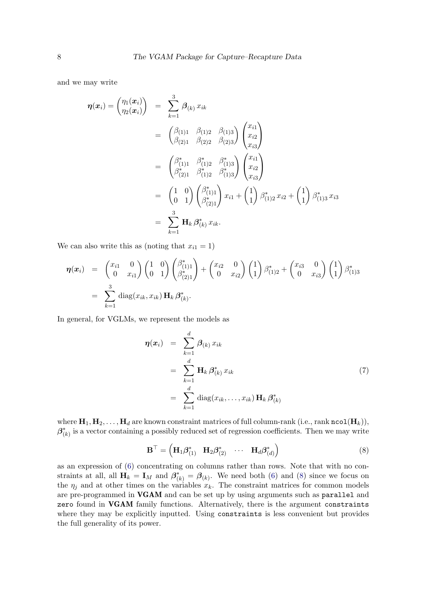and we may write

$$
\eta(\boldsymbol{x}_{i}) = \begin{pmatrix} \eta_{1}(\boldsymbol{x}_{i}) \\ \eta_{2}(\boldsymbol{x}_{i}) \end{pmatrix} = \sum_{k=1}^{3} \beta_{(k)} x_{ik}
$$
  
\n
$$
= \begin{pmatrix} \beta_{(1)1} & \beta_{(1)2} & \beta_{(1)3} \\ \beta_{(2)1} & \beta_{(2)2} & \beta_{(2)3} \end{pmatrix} \begin{pmatrix} x_{i1} \\ x_{i2} \\ x_{i3} \end{pmatrix}
$$
  
\n
$$
= \begin{pmatrix} \beta_{(1)1}^{*} & \beta_{(1)2}^{*} & \beta_{(1)3}^{*} \\ \beta_{(2)1}^{*} & \beta_{(1)2}^{*} & \beta_{(1)3}^{*} \end{pmatrix} \begin{pmatrix} x_{i1} \\ x_{i2} \\ x_{i3} \end{pmatrix}
$$
  
\n
$$
= \begin{pmatrix} 1 & 0 \\ 0 & 1 \end{pmatrix} \begin{pmatrix} \beta_{(1)1}^{*} \\ \beta_{(2)1}^{*} \end{pmatrix} x_{i1} + \begin{pmatrix} 1 \\ 1 \end{pmatrix} \beta_{(1)2}^{*} x_{i2} + \begin{pmatrix} 1 \\ 1 \end{pmatrix} \beta_{(1)3}^{*} x_{i3}
$$
  
\n
$$
= \sum_{k=1}^{3} \mathbf{H}_{k} \beta_{(k)}^{*} x_{ik}.
$$

We can also write this as (noting that  $x_{i1} = 1$ )

$$
\eta(x_i) = \begin{pmatrix} x_{i1} & 0 \\ 0 & x_{i1} \end{pmatrix} \begin{pmatrix} 1 & 0 \\ 0 & 1 \end{pmatrix} \begin{pmatrix} \beta_{(1)1}^* \\ \beta_{(2)1}^* \end{pmatrix} + \begin{pmatrix} x_{i2} & 0 \\ 0 & x_{i2} \end{pmatrix} \begin{pmatrix} 1 \\ 1 \end{pmatrix} \beta_{(1)2}^* + \begin{pmatrix} x_{i3} & 0 \\ 0 & x_{i3} \end{pmatrix} \begin{pmatrix} 1 \\ 1 \end{pmatrix} \beta_{(1)3}^* \n= \sum_{k=1}^3 \text{diag}(x_{ik}, x_{ik}) \mathbf{H}_k \beta_{(k)}^*.
$$

In general, for VGLMs, we represent the models as

<span id="page-7-1"></span>
$$
\eta(\boldsymbol{x}_i) = \sum_{k=1}^d \boldsymbol{\beta}_{(k)} x_{ik}
$$
  
= 
$$
\sum_{k=1}^d \mathbf{H}_k \boldsymbol{\beta}_{(k)}^* x_{ik}
$$
  
= 
$$
\sum_{k=1}^d \text{diag}(x_{ik}, \dots, x_{ik}) \mathbf{H}_k \boldsymbol{\beta}_{(k)}^*
$$
 (7)

<span id="page-7-0"></span>where  $\mathbf{H}_1, \mathbf{H}_2, \ldots, \mathbf{H}_d$  are known constraint matrices of full column-rank (i.e., rank ncol( $\mathbf{H}_k$ )),  $\beta^*_{(k)}$  is a vector containing a possibly reduced set of regression coefficients. Then we may write

$$
\mathbf{B}^{\top} = \left(\mathbf{H}_1 \boldsymbol{\beta}^*_{(1)} \quad \mathbf{H}_2 \boldsymbol{\beta}^*_{(2)} \quad \cdots \quad \mathbf{H}_d \boldsymbol{\beta}^*_{(d)}\right) \tag{8}
$$

as an expression of [\(6\)](#page-6-1) concentrating on columns rather than rows. Note that with no constraints at all, all  $\mathbf{H}_k = \mathbf{I}_M$  and  $\boldsymbol{\beta}_{(k)}^* = \boldsymbol{\beta}_{(k)}$ . We need both [\(6\)](#page-6-1) and [\(8\)](#page-7-0) since we focus on the  $\eta_i$  and at other times on the variables  $x_k$ . The constraint matrices for common models are pre-programmed in VGAM and can be set up by using arguments such as parallel and zero found in VGAM family functions. Alternatively, there is the argument constraints where they may be explicitly inputted. Using constraints is less convenient but provides the full generality of its power.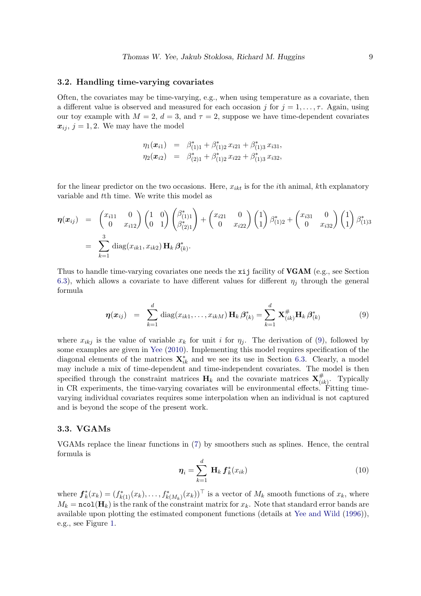#### <span id="page-8-3"></span>3.2. Handling time-varying covariates

Often, the covariates may be time-varying, e.g., when using temperature as a covariate, then a different value is observed and measured for each occasion j for  $j = 1, \ldots, \tau$ . Again, using our toy example with  $M = 2$ ,  $d = 3$ , and  $\tau = 2$ , suppose we have time-dependent covariates  $x_{ij}$ ,  $j = 1, 2$ . We may have the model

$$
\eta_1(\boldsymbol{x}_{i1}) = \beta_{(1)1}^* + \beta_{(1)2}^* x_{i21} + \beta_{(1)3}^* x_{i31},
$$
  
\n
$$
\eta_2(\boldsymbol{x}_{i2}) = \beta_{(2)1}^* + \beta_{(1)2}^* x_{i22} + \beta_{(1)3}^* x_{i32},
$$

for the linear predictor on the two occasions. Here,  $x_{ikt}$  is for the *i*th animal, kth explanatory variable and tth time. We write this model as

$$
\eta(x_{ij}) = \begin{pmatrix} x_{i11} & 0 \\ 0 & x_{i12} \end{pmatrix} \begin{pmatrix} 1 & 0 \\ 0 & 1 \end{pmatrix} \begin{pmatrix} \beta_{(1)1}^* \\ \beta_{(2)1}^* \end{pmatrix} + \begin{pmatrix} x_{i21} & 0 \\ 0 & x_{i22} \end{pmatrix} \begin{pmatrix} 1 \\ 1 \end{pmatrix} \beta_{(1)2}^* + \begin{pmatrix} x_{i31} & 0 \\ 0 & x_{i32} \end{pmatrix} \begin{pmatrix} 1 \\ 1 \end{pmatrix} \beta_{(1)3}^* \n= \sum_{k=1}^3 \text{diag}(x_{ik1}, x_{ik2}) \mathbf{H}_k \beta_{(k)}^*.
$$

Thus to handle time-varying covariates one needs the xij facility of **VGAM** (e.g., see Section [6.3\)](#page-19-0), which allows a covariate to have different values for different  $\eta_i$  through the general formula

<span id="page-8-1"></span>
$$
\eta(x_{ij}) = \sum_{k=1}^d \text{diag}(x_{ik1}, \dots, x_{ikM}) \mathbf{H}_k \boldsymbol{\beta}_{(k)}^* = \sum_{k=1}^d \mathbf{X}_{(ik)}^* \mathbf{H}_k \boldsymbol{\beta}_{(k)}^* \qquad (9)
$$

where  $x_{ikj}$  is the value of variable  $x_k$  for unit i for  $\eta_j$ . The derivation of [\(9\)](#page-8-1), followed by some examples are given in [Yee](#page-28-9) [\(2010\)](#page-28-9). Implementing this model requires specification of the diagonal elements of the matrices  $\mathbf{X}_{ik}^*$  and we see its use in Section [6.3.](#page-19-0) Clearly, a model may include a mix of time-dependent and time-independent covariates. The model is then specified through the constraint matrices  $H_k$  and the covariate matrices  $X_{ij}^{\#}$  $\frac{\pi}{(ik)}$ . Typically in CR experiments, the time-varying covariates will be environmental effects. Fitting timevarying individual covariates requires some interpolation when an individual is not captured and is beyond the scope of the present work.

#### <span id="page-8-0"></span>3.3. VGAMs

<span id="page-8-2"></span>VGAMs replace the linear functions in [\(7\)](#page-7-1) by smoothers such as splines. Hence, the central formula is

$$
\boldsymbol{\eta}_i = \sum_{k=1}^d \mathbf{H}_k \, \boldsymbol{f}_k^*(x_{ik}) \tag{10}
$$

where  $\boldsymbol{f}_k^*(x_k) = (f_{k(1)}^*(x_k), \ldots, f_{k(M_k)}^*(x_k))^{\top}$  is a vector of  $M_k$  smooth functions of  $x_k$ , where  $M_k = \texttt{ncol}(\mathbf{H}_k)$  is the rank of the constraint matrix for  $x_k$ . Note that standard error bands are available upon plotting the estimated component functions (details at [Yee and Wild](#page-28-6) [\(1996\)](#page-28-6)), e.g., see Figure [1.](#page-17-0)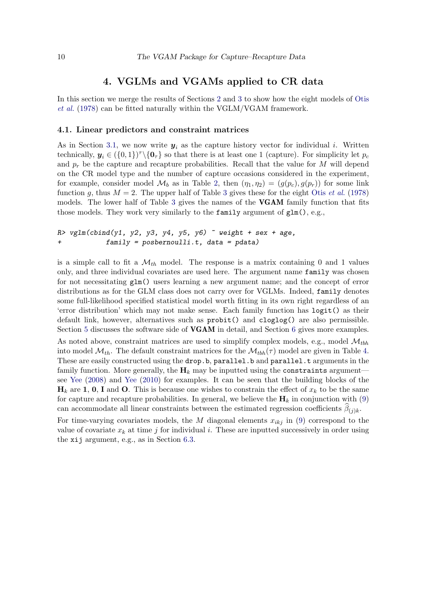### 4. VGLMs and VGAMs applied to CR data

<span id="page-9-0"></span>In this section we merge the results of Sections [2](#page-2-0) and [3](#page-5-0) to show how the eight models of [Otis](#page-27-0) [et al.](#page-27-0) [\(1978\)](#page-27-0) can be fitted naturally within the VGLM/VGAM framework.

#### 4.1. Linear predictors and constraint matrices

As in Section [3.1,](#page-6-0) we now write  $y_i$  as the capture history vector for individual i. Written technically,  $y_i \in (\{0,1\})^{\tau} \setminus \{0_{\tau}\}\)$  so that there is at least one 1 (capture). For simplicity let  $p_c$ and  $p_r$  be the capture and recapture probabilities. Recall that the value for M will depend on the CR model type and the number of capture occasions considered in the experiment, for example, consider model  $\mathcal{M}_b$  as in Table [2,](#page-4-1) then  $(\eta_1, \eta_2) = (g(p_c), g(p_r))$  for some link function g, thus  $M = 2$ . The upper half of Table [3](#page-10-0) gives these for the eight Otis [et al.](#page-27-0) [\(1978\)](#page-27-0) models. The lower half of Table [3](#page-10-0) gives the names of the **VGAM** family function that fits those models. They work very similarly to the family argument of  $glm()$ , e.g.,

```
R> vglm(cbind(y1, y2, y3, y4, y5, y6) \tilde{ } weight + sex + age,
+ family = posbernoulli.t, data = pdata)
```
is a simple call to fit a  $\mathcal{M}_{th}$  model. The response is a matrix containing 0 and 1 values only, and three individual covariates are used here. The argument name family was chosen for not necessitating glm() users learning a new argument name; and the concept of error distributions as for the GLM class does not carry over for VGLMs. Indeed, family denotes some full-likelihood specified statistical model worth fitting in its own right regardless of an 'error distribution' which may not make sense. Each family function has logit() as their default link, however, alternatives such as probit() and cloglog() are also permissible. Section [5](#page-11-0) discusses the software side of **VGAM** in detail, and Section [6](#page-14-0) gives more examples. As noted above, constraint matrices are used to simplify complex models, e.g., model  $\mathcal{M}_{tbh}$ into model  $\mathcal{M}_{th}$ . The default constraint matrices for the  $\mathcal{M}_{t\bar{b}h}(\tau)$  model are given in Table [4.](#page-11-1) These are easily constructed using the **drop.b, parallel.b** and **parallel.t** arguments in the family function. More generally, the  $H_k$  may be inputted using the constraints argument see [Yee](#page-28-8) [\(2008\)](#page-28-8) and [Yee](#page-28-9) [\(2010\)](#page-28-9) for examples. It can be seen that the building blocks of the  $\mathbf{H}_k$  are 1, 0, I and O. This is because one wishes to constrain the effect of  $x_k$  to be the same for capture and recapture probabilities. In general, we believe the  $H_k$  in conjunction with [\(9\)](#page-8-1) can accommodate all linear constraints between the estimated regression coefficients  $\beta_{(j)k}$ .

For time-varying covariates models, the M diagonal elements  $x_{ikj}$  in [\(9\)](#page-8-1) correspond to the value of covariate  $x_k$  at time j for individual i. These are inputted successively in order using the xij argument, e.g., as in Section [6.3.](#page-19-0)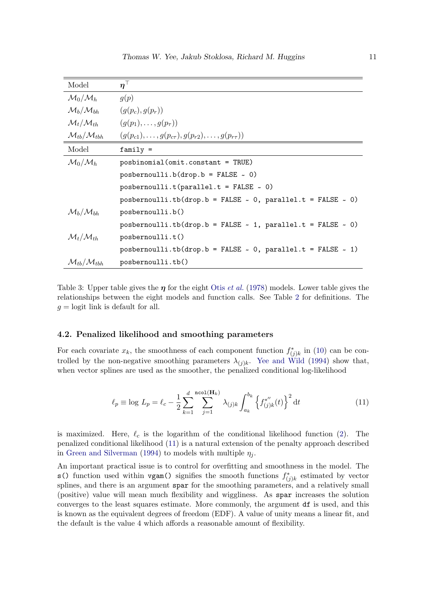| Model                                | $\boldsymbol{\eta}^\top$                                              |
|--------------------------------------|-----------------------------------------------------------------------|
| $\mathcal{M}_0/\mathcal{M}_h$        | g(p)                                                                  |
| $\mathcal{M}_b/\mathcal{M}_{bh}$     | $(g(p_c), g(p_r))$                                                    |
| $\mathcal{M}_t/\mathcal{M}_{th}$     | $(g(p_1), \ldots, g(p_{\tau}))$                                       |
| $\mathcal{M}_{tb}/\mathcal{M}_{tbh}$ | $(g(p_{c1}), \ldots, g(p_{c\tau}), g(p_{r2}), \ldots, g(p_{r\tau}))$  |
| Model                                | $family =$                                                            |
| $\mathcal{M}_0/\mathcal{M}_h$        | posbinomial(omit.constant = TRUE)                                     |
|                                      | $posbernoulli.b(drop.b = FALSE ~ 0)$                                  |
|                                      | posbernoulli.t(parallel.t = FALSE $\sim$ 0)                           |
|                                      | posbernoulli.tb(drop.b = FALSE $\sim$ 0, parallel.t = FALSE $\sim$ 0) |
| $\mathcal{M}_b/\mathcal{M}_{bh}$     | posbernoulli.b()                                                      |
|                                      | posbernoulli.tb(drop.b = FALSE $\sim$ 1, parallel.t = FALSE $\sim$ 0) |
| $\mathcal{M}_t/\mathcal{M}_{th}$     | posbernoulli.t()                                                      |
|                                      | posbernoulli.tb(drop.b = FALSE $\sim$ 0, parallel.t = FALSE $\sim$ 1) |
| $\mathcal{M}_{tb}/\mathcal{M}_{tbh}$ | posbernoulli.tb()                                                     |

<span id="page-10-0"></span>Table 3: Upper table gives the  $\eta$  for the eight Otis *[et al.](#page-27-0)* [\(1978\)](#page-27-0) models. Lower table gives the relationships between the eight models and function calls. See Table [2](#page-4-1) for definitions. The  $q =$ logit link is default for all.

#### 4.2. Penalized likelihood and smoothing parameters

For each covariate  $x_k$ , the smoothness of each component function  $f^*_{(j)k}$  in [\(10\)](#page-8-2) can be controlled by the non-negative smoothing parameters  $\lambda_{(j)k}$ . [Yee and Wild](#page-28-12) [\(1994\)](#page-28-12) show that, when vector splines are used as the smoother, the penalized conditional log-likelihood

<span id="page-10-1"></span>
$$
\ell_p \equiv \log L_p = \ell_c - \frac{1}{2} \sum_{k=1}^d \sum_{j=1}^{\text{ncol}(\mathbf{H}_k)} \lambda_{(j)k} \int_{a_k}^{b_k} \left\{ f_{(j)k}^{*''}(t) \right\}^2 dt \tag{11}
$$

is maximized. Here,  $\ell_c$  is the logarithm of the conditional likelihood function [\(2\)](#page-3-2). The penalized conditional likelihood [\(11\)](#page-10-1) is a natural extension of the penalty approach described in [Green and Silverman](#page-26-16) [\(1994\)](#page-26-16) to models with multiple  $\eta_i$ .

An important practical issue is to control for overfitting and smoothness in the model. The s() function used within vgam() signifies the smooth functions  $f^*_{(j)k}$  estimated by vector splines, and there is an argument spar for the smoothing parameters, and a relatively small (positive) value will mean much flexibility and wiggliness. As spar increases the solution converges to the least squares estimate. More commonly, the argument df is used, and this is known as the equivalent degrees of freedom (EDF). A value of unity means a linear fit, and the default is the value 4 which affords a reasonable amount of flexibility.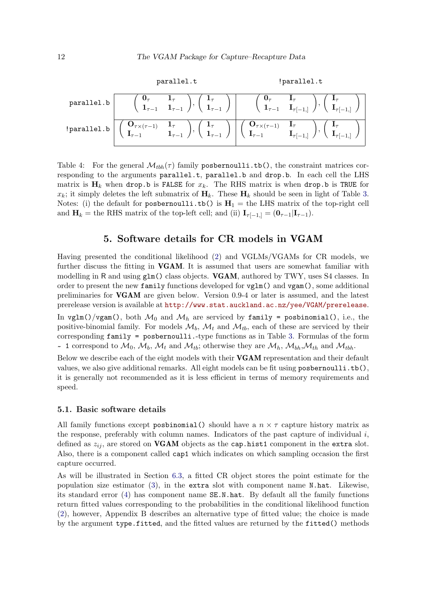$$
\text{parallel.t} \quad \text{parallel.t}
$$
\n
$$
\text{parallel.b} \quad \left(\begin{array}{cc} \mathbf{0}_{\tau} & \mathbf{1}_{\tau} \\ \mathbf{1}_{\tau-1} & \mathbf{1}_{\tau-1} \end{array}\right), \left(\begin{array}{c} \mathbf{1}_{\tau} \\ \mathbf{1}_{\tau-1} \end{array}\right) \quad \left(\begin{array}{cc} \mathbf{0}_{\tau} & \mathbf{I}_{\tau} \\ \mathbf{1}_{\tau-1} & \mathbf{1}_{\tau[-1,]} \end{array}\right), \left(\begin{array}{c} \mathbf{I}_{\tau} \\ \mathbf{1}_{\tau-1} \end{array}\right)
$$
\n
$$
\text{parallel.b} \quad \left(\begin{array}{cc} \mathbf{0}_{\tau \times (\tau-1)} & \mathbf{1}_{\tau} \\ \mathbf{I}_{\tau-1} & \mathbf{1}_{\tau-1} \end{array}\right), \left(\begin{array}{cc} \mathbf{1}_{\tau} \\ \mathbf{1}_{\tau-1} \end{array}\right) \quad \left(\begin{array}{cc} \mathbf{0}_{\tau \times (\tau-1)} & \mathbf{I}_{\tau} \\ \mathbf{I}_{\tau-1} & \mathbf{I}_{\tau[-1,]} \end{array}\right), \left(\begin{array}{cc} \mathbf{I}_{\tau} \\ \mathbf{I}_{\tau-1} \end{array}\right)
$$

<span id="page-11-1"></span>Table 4: For the general  $\mathcal{M}_{bb}(\tau)$  family post-inputation the constraint matrices corresponding to the arguments parallel.t, parallel.b and drop.b. In each cell the LHS matrix is  $H_k$  when drop.b is FALSE for  $x_k$ . The RHS matrix is when drop.b is TRUE for  $x_k$ ; it simply deletes the left submatrix of  $H_k$ . These  $H_k$  should be seen in light of Table [3.](#page-10-0) Notes: (i) the default for pospernoulli.tb() is  $H_1$  = the LHS matrix of the top-right cell and  $\mathbf{H}_k =$  the RHS matrix of the top-left cell; and (ii)  $\mathbf{I}_{\tau[-1,1]} = (\mathbf{0}_{\tau-1}|\mathbf{I}_{\tau-1}).$ 

### 5. Software details for CR models in VGAM

<span id="page-11-0"></span>Having presented the conditional likelihood [\(2\)](#page-3-2) and VGLMs/VGAMs for CR models, we further discuss the fitting in VGAM. It is assumed that users are somewhat familiar with modelling in R and using  $g1m()$  class objects. **VGAM**, authored by TWY, uses S4 classes. In order to present the new family functions developed for vglm() and vgam(), some additional preliminaries for VGAM are given below. Version 0.9-4 or later is assumed, and the latest prerelease version is available at [http://www.stat.auckland.ac.nz/yee/VGAM/prerelease](http://www.stat.auckland.ac.nz/ yee/VGAM/prerelease).

In vglm()/vgam(), both  $\mathcal{M}_0$  and  $\mathcal{M}_h$  are serviced by family = posbinomial(), i.e., the positive-binomial family. For models  $\mathcal{M}_b$ ,  $\mathcal{M}_t$  and  $\mathcal{M}_{tb}$ , each of these are serviced by their corresponding family = posbernoulli.-type functions as in Table [3.](#page-10-0) Formulas of the form  $\sim$  1 correspond to  $\mathcal{M}_0$ ,  $\mathcal{M}_b$ ,  $\mathcal{M}_t$  and  $\mathcal{M}_{tb}$ ; otherwise they are  $\mathcal{M}_h$ ,  $\mathcal{M}_{bh}$ ,  $\mathcal{M}_{th}$  and  $\mathcal{M}_{tbh}$ .

Below we describe each of the eight models with their **VGAM** representation and their default values, we also give additional remarks. All eight models can be fit using posbernoulli.tb(), it is generally not recommended as it is less efficient in terms of memory requirements and speed.

#### 5.1. Basic software details

All family functions except postinomial () should have a  $n \times \tau$  capture history matrix as the response, preferably with column names. Indicators of the past capture of individual  $i$ , defined as  $z_{ij}$ , are stored on **VGAM** objects as the cap.hist1 component in the extra slot. Also, there is a component called cap1 which indicates on which sampling occasion the first capture occurred.

As will be illustrated in Section [6.3,](#page-19-0) a fitted CR object stores the point estimate for the population size estimator [\(3\)](#page-5-1), in the extra slot with component name N.hat. Likewise, its standard error [\(4\)](#page-5-2) has component name SE.N.hat. By default all the family functions return fitted values corresponding to the probabilities in the conditional likelihood function [\(2\)](#page-3-2), however, Appendix B describes an alternative type of fitted value; the choice is made by the argument type.fitted, and the fitted values are returned by the fitted() methods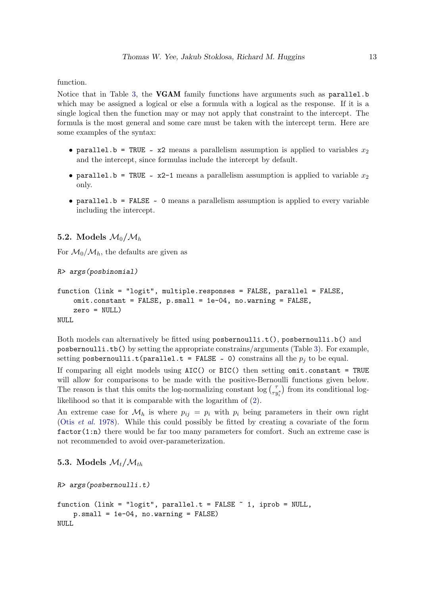function.

Notice that in Table [3,](#page-10-0) the **VGAM** family functions have arguments such as parallel.b which may be assigned a logical or else a formula with a logical as the response. If it is a single logical then the function may or may not apply that constraint to the intercept. The formula is the most general and some care must be taken with the intercept term. Here are some examples of the syntax:

- parallel.b = TRUE ~  $x2$  means a parallelism assumption is applied to variables  $x_2$ and the intercept, since formulas include the intercept by default.
- parallel.b = TRUE ~  $x2-1$  means a parallelism assumption is applied to variable  $x_2$ only.
- parallel.b = FALSE ~ 0 means a parallelism assumption is applied to every variable including the intercept.

### <span id="page-12-0"></span>5.2. Models  $\mathcal{M}_0/\mathcal{M}_h$

For  $\mathcal{M}_0/\mathcal{M}_h$ , the defaults are given as

R> args(posbinomial)

```
function (link = "logit", multiple.responses = FALSE, parallel = FALSE,
    omit.constant = FALSE, p.small = 1e-04, no.warning = FALSE,
    zero = NULL)
NULL
```
Both models can alternatively be fitted using posbernoulli.t(), posbernoulli.b() and posbernoulli.tb() by setting the appropriate constrains/arguments (Table [3\)](#page-10-0). For example, setting  $\texttt{posbernoulli.t}(\texttt{parallel.t = FALSE ~ 0})$  constrains all the  $p_j$  to be equal.

If comparing all eight models using AIC() or BIC() then setting omit.constant = TRUE will allow for comparisons to be made with the positive-Bernoulli functions given below. The reason is that this omits the log-normalizing constant  $\log \binom{\tau}{\tau y_i^*}$  from its conditional loglikelihood so that it is comparable with the logarithm of [\(2\)](#page-3-2).

An extreme case for  $\mathcal{M}_h$  is where  $p_{ij} = p_i$  with  $p_i$  being parameters in their own right (Otis [et al.](#page-27-0) [1978\)](#page-27-0). While this could possibly be fitted by creating a covariate of the form factor(1:n) there would be far too many parameters for comfort. Such an extreme case is not recommended to avoid over-parameterization.

```
5.3. Models \mathcal{M}_t/\mathcal{M}_{th}
```

```
R> args(posbernoulli.t)
function (link = "logit", parallel.t = FALSE \tilde{ } 1, iprob = NULL,
    p.small = 1e-04, no.warning = FALSE)
NULL
```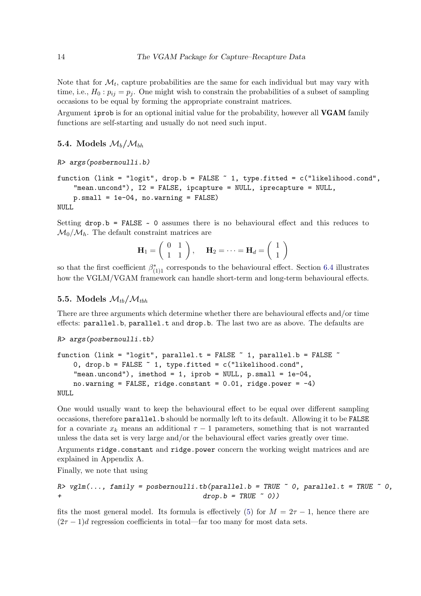Note that for  $\mathcal{M}_t$ , capture probabilities are the same for each individual but may vary with time, i.e.,  $H_0: p_{ij} = p_j$ . One might wish to constrain the probabilities of a subset of sampling occasions to be equal by forming the appropriate constraint matrices.

Argument iprob is for an optional initial value for the probability, however all VGAM family functions are self-starting and usually do not need such input.

### 5.4. Models  $\mathcal{M}_b/\mathcal{M}_{bh}$

```
R> args(posbernoulli.b)
```

```
function (link = "logit", drop.b = FALSE ~ 1, type.fitted = c("likelihood.cond",
    "mean.uncond"), I2 = FALSE, ipcapture = NULL, iprecapture = NULL,
    p.small = 1e-04, no.warning = FALSE)
NULL
```
Setting  $drop.b = FALSE \sim 0$  assumes there is no behavioural effect and this reduces to  $\mathcal{M}_0/\mathcal{M}_h$ . The default constraint matrices are

$$
\mathbf{H}_1 = \left( \begin{array}{cc} 0 & 1 \\ 1 & 1 \end{array} \right), \quad \mathbf{H}_2 = \cdots = \mathbf{H}_d = \left( \begin{array}{c} 1 \\ 1 \end{array} \right)
$$

so that the first coefficient  $\beta^*_{(1)1}$  corresponds to the behavioural effect. Section [6.4](#page-22-0) illustrates how the VGLM/VGAM framework can handle short-term and long-term behavioural effects.

### 5.5. Models  $\mathcal{M}_{th}/\mathcal{M}_{thh}$

There are three arguments which determine whether there are behavioural effects and/or time effects: parallel.b, parallel.t and drop.b. The last two are as above. The defaults are

```
R> args(posbernoulli.tb)
```

```
function (link = "logit", parallel.t = FALSE \tilde{ } 1, parallel.b = FALSE \tilde{ }0, drop.b = FALSE \tilde{ } 1, type.fitted = c("likelihood.cond",
    "mean.uncond"), imethod = 1, iprob = NULL, p.small = 1e-04,
    no.warning = FALSE, ridge.constant = 0.01, ridge.power = -4)
NULL
```
One would usually want to keep the behavioural effect to be equal over different sampling occasions, therefore parallel.b should be normally left to its default. Allowing it to be FALSE for a covariate  $x_k$  means an additional  $\tau - 1$  parameters, something that is not warranted unless the data set is very large and/or the behavioural effect varies greatly over time.

Arguments ridge.constant and ridge.power concern the working weight matrices and are explained in Appendix A.

Finally, we note that using

```
R > vglm(...), family = posbernoulli.tb(parallel.b = TRUE ~ 0, parallel.t = TRUE ~ 0,
\text{drop.b = TRUE} \approx 0)
```
fits the most general model. Its formula is effectively [\(5\)](#page-6-2) for  $M = 2\tau - 1$ , hence there are  $(2\tau - 1)d$  regression coefficients in total—far too many for most data sets.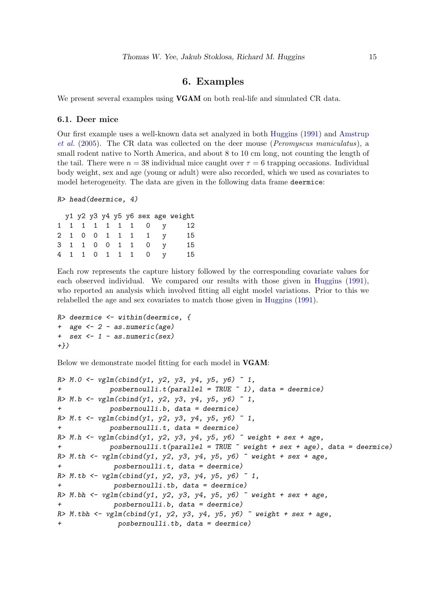### 6. Examples

<span id="page-14-0"></span>We present several examples using **VGAM** on both real-life and simulated CR data.

#### <span id="page-14-1"></span>6.1. Deer mice

Our first example uses a well-known data set analyzed in both [Huggins](#page-26-14) [\(1991\)](#page-26-14) and [Amstrup](#page-26-1) [et al.](#page-26-1) [\(2005\)](#page-26-1). The CR data was collected on the deer mouse (Peromyscus maniculatus), a small rodent native to North America, and about 8 to 10 cm long, not counting the length of the tail. There were  $n = 38$  individual mice caught over  $\tau = 6$  trapping occasions. Individual body weight, sex and age (young or adult) were also recorded, which we used as covariates to model heterogeneity. The data are given in the following data frame deermice:

```
R> head(deermice, 4)
```

|  |  |  |               |                   | y1 y2 y3 y4 y5 y6 sex age weight |
|--|--|--|---------------|-------------------|----------------------------------|
|  |  |  |               | 1 1 1 1 1 1 1 0 y | 12                               |
|  |  |  |               | 2 1 0 0 1 1 1 1 y | 15                               |
|  |  |  |               | 3 1 1 0 0 1 1 0   | 15                               |
|  |  |  | 4 1 1 0 1 1 1 | $\overline{0}$    | 15                               |

Each row represents the capture history followed by the corresponding covariate values for each observed individual. We compared our results with those given in [Huggins](#page-26-14) [\(1991\)](#page-26-14), who reported an analysis which involved fitting all eight model variations. Prior to this we relabelled the age and sex covariates to match those given in [Huggins](#page-26-14) [\(1991\)](#page-26-14).

```
R> deermice \leq within(deermice, {
+ age <- 2 - as.numeric(age)
+ sex <- 1 - as.numeric(sex)
+})
```
Below we demonstrate model fitting for each model in VGAM:

```
R > M.0 \leq \text{vglm}(cbind(y1, y2, y3, y4, y5, y6) \approx 1,+ posbernoulli.t(parallel = TRUE ~ 1), data = deermice)
R > M.b \leftarrow vglm(cbind(y1, y2, y3, y4, y5, y6) \sim 1,
             posbernoulli.b, data = determine)R > M.t \leftarrow vglm(cbind(y1, y2, y3, y4, y5, y6) \sim 1,
+ posbernoulli.t, data = deermice)
R> M.h <- vglm(cbind(y1, y2, y3, y4, y5, y6) \tilde{ } weight + sex + age,
+ posbernoulli.t(parallel = TRUE ~ weight + sex + age), data = deermice)
R> M.th <- vglm(cbind(y1, y2, y3, y4, y5, y6) \tilde{ } weight + sex + age,
+ posbernoulli.t, data = deermice)
R > M.tb \leftarrow vglm(cbind(y1, y2, y3, y4, y5, y6) \sim 1,
+ posbernoulli.tb, data = deermice)
R> M.bh \leq vglm(cbind(y1, y2, y3, y4, y5, y6) \sim weight + sex + age,
              posbernoulli.b, data = determine)R> M.tbh <- vglm(cbind(y1, y2, y3, y4, y5, y6) \tilde{ } weight + sex + age,
               posbernoulli.th, data = determine)
```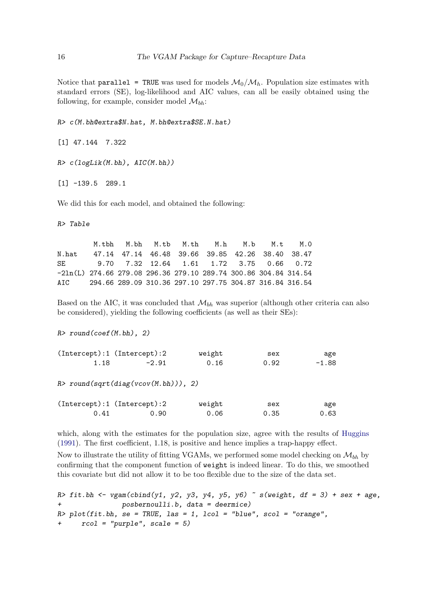Notice that parallel = TRUE was used for models  $\mathcal{M}_0/\mathcal{M}_h$ . Population size estimates with standard errors (SE), log-likelihood and AIC values, can all be easily obtained using the following, for example, consider model  $\mathcal{M}_{bh}$ :

R> c(M.bh@extra\$N.hat, M.bh@extra\$SE.N.hat)

[1] 47.144 7.322

R> c(logLik(M.bh), AIC(M.bh))

[1] -139.5 289.1

We did this for each model, and obtained the following:

R> Table

M.tbh M.bh M.tb M.th M.h M.b M.t M.0 N.hat 47.14 47.14 46.48 39.66 39.85 42.26 38.40 38.47 SE 9.70 7.32 12.64 1.61 1.72 3.75 0.66 0.72 -2ln(L) 274.66 279.08 296.36 279.10 289.74 300.86 304.84 314.54 AIC 294.66 289.09 310.36 297.10 297.75 304.87 316.84 316.54

Based on the AIC, it was concluded that  $\mathcal{M}_{bh}$  was superior (although other criteria can also be considered), yielding the following coefficients (as well as their SEs):

 $R$ > round(coef(M.bh), 2)

|      | (Intercept):1 (Intercept):2 | weight | sex  | age     |
|------|-----------------------------|--------|------|---------|
| 1.18 | $-2.91$                     | 0.16   | 0.92 | $-1.88$ |

 $R$ > round(sqrt(diag(vcov(M.bh))), 2)

|      | $(Intercept):1$ $(Intercept):2$ | weight | sex  | age  |
|------|---------------------------------|--------|------|------|
| 0.41 | 0.90                            | 0.06   | 0.35 | 0.63 |

which, along with the estimates for the population size, agree with the results of [Huggins](#page-26-14) [\(1991\)](#page-26-14). The first coefficient, 1.18, is positive and hence implies a trap-happy effect.

Now to illustrate the utility of fitting VGAMs, we performed some model checking on  $\mathcal{M}_{bh}$  by confirming that the component function of weight is indeed linear. To do this, we smoothed this covariate but did not allow it to be too flexible due to the size of the data set.

R> fit.bh <- vgam(cbind(y1, y2, y3, y4, y5, y6)  $\tilde{ }$  s(weight, df = 3) + sex + age, posbernoulli.b, data = deermice)  $R$ >  $plot(fit.bh, se = TRUE, las = 1, local = "blue", scol = "orange",$  $rcol = "purple", scale = 5)$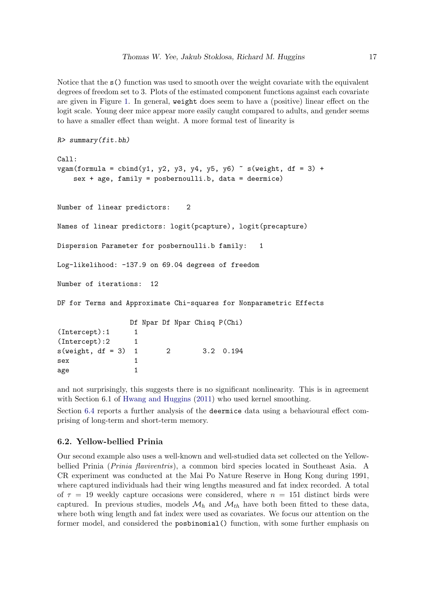Notice that the  $s()$  function was used to smooth over the weight covariate with the equivalent degrees of freedom set to 3. Plots of the estimated component functions against each covariate are given in Figure [1.](#page-17-0) In general, weight does seem to have a (positive) linear effect on the logit scale. Young deer mice appear more easily caught compared to adults, and gender seems to have a smaller effect than weight. A more formal test of linearity is

```
R> summary(fit.bh)
Call:
vgam(formula = cbind(y1, y2, y3, y4, y5, y6) \tilde{ } s(weight, df = 3) +
   sex + age, family = posbernoulli.b, data = deermice)
Number of linear predictors: 2
Names of linear predictors: logit(pcapture), logit(precapture)
Dispersion Parameter for posbernoulli.b family: 1
Log-likelihood: -137.9 on 69.04 degrees of freedom
Number of iterations: 12
DF for Terms and Approximate Chi-squares for Nonparametric Effects
                Df Npar Df Npar Chisq P(Chi)
(Intercept):1 1
(Intercept):2 1
s(weight, df = 3) 1 2 3.2 0.194
sex 1
age 1
```
and not surprisingly, this suggests there is no significant nonlinearity. This is in agreement with Section 6.1 of [Hwang and Huggins](#page-27-12) [\(2011\)](#page-27-12) who used kernel smoothing.

Section [6.4](#page-22-0) reports a further analysis of the deermice data using a behavioural effect comprising of long-term and short-term memory.

### 6.2. Yellow-bellied Prinia

Our second example also uses a well-known and well-studied data set collected on the Yellowbellied Prinia (Prinia flaviventris), a common bird species located in Southeast Asia. A CR experiment was conducted at the Mai Po Nature Reserve in Hong Kong during 1991, where captured individuals had their wing lengths measured and fat index recorded. A total of  $\tau = 19$  weekly capture occasions were considered, where  $n = 151$  distinct birds were captured. In previous studies, models  $\mathcal{M}_h$  and  $\mathcal{M}_{th}$  have both been fitted to these data, where both wing length and fat index were used as covariates. We focus our attention on the former model, and considered the posbinomial() function, with some further emphasis on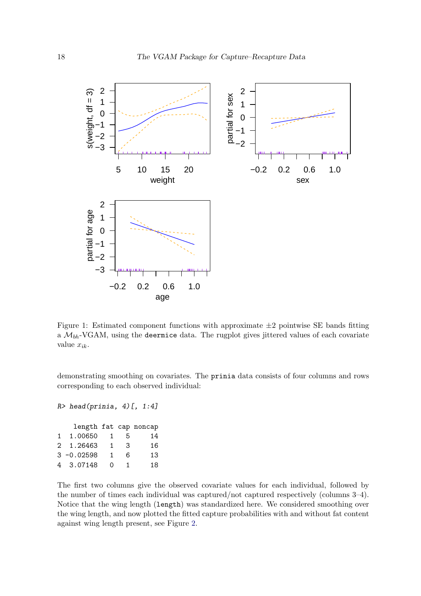

<span id="page-17-0"></span>Figure 1: Estimated component functions with approximate  $\pm 2$  pointwise SE bands fitting a  $M_{bh}$ -VGAM, using the deermice data. The rugplot gives jittered values of each covariate value  $x_{ik}$ .

demonstrating smoothing on covariates. The prinia data consists of four columns and rows corresponding to each observed individual:

```
R> head(prinia, 4)[, 1:4]
```

|              |               |              |    | length fat cap noncap |
|--------------|---------------|--------------|----|-----------------------|
| $\mathbf{1}$ | 1,00650       | $\mathbf{1}$ | 5  | 14                    |
|              | 2 1.26463     | 1            | 3  | 16                    |
|              | $3 - 0.02598$ | 1.           | 6  | 13                    |
|              | 4 3.07148     | Ω            | 1. | 18                    |

The first two columns give the observed covariate values for each individual, followed by the number of times each individual was captured/not captured respectively (columns 3–4). Notice that the wing length (length) was standardized here. We considered smoothing over the wing length, and now plotted the fitted capture probabilities with and without fat content against wing length present, see Figure [2.](#page-18-0)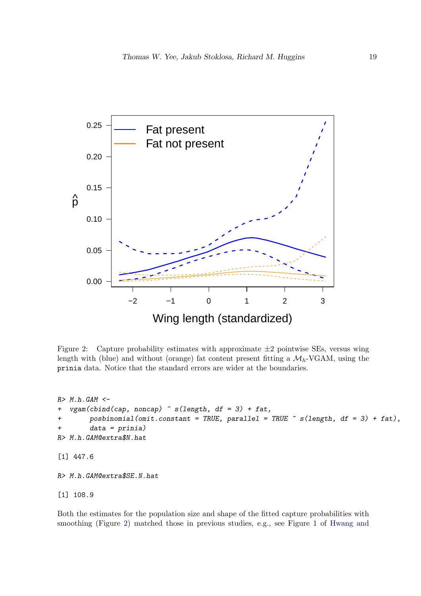

<span id="page-18-0"></span>Figure 2: Capture probability estimates with approximate  $\pm 2$  pointwise SEs, versus wing length with (blue) and without (orange) fat content present fitting a  $\mathcal{M}_h$ -VGAM, using the prinia data. Notice that the standard errors are wider at the boundaries.

```
R > M.h.GAM <vgam(cbind(cap, noncap) \sim s(length, df = 3) + fat,
        posbinomial(omit.constant = TRUE, parallel = TRUE \tilde{ } s(length, df = 3) + fat),
        data = prinia)R> M.h.GAM@extra$N.hat
[1] 447.6
R> M.h.GAM@extra$SE.N.hat
[1] 108.9
```
Both the estimates for the population size and shape of the fitted capture probabilities with smoothing (Figure [2\)](#page-18-0) matched those in previous studies, e.g., see Figure 1 of [Hwang and](#page-27-13)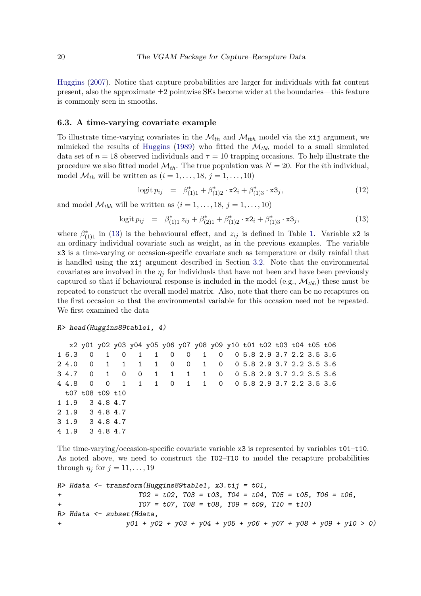[Huggins](#page-27-13) [\(2007\)](#page-27-13). Notice that capture probabilities are larger for individuals with fat content present, also the approximate  $\pm 2$  pointwise SEs become wider at the boundaries—this feature is commonly seen in smooths.

#### <span id="page-19-0"></span>6.3. A time-varying covariate example

To illustrate time-varying covariates in the  $\mathcal{M}_{th}$  and  $\mathcal{M}_{tbh}$  model via the xij argument, we mimicked the results of [Huggins](#page-26-2) [\(1989\)](#page-26-2) who fitted the  $\mathcal{M}_{tbh}$  model to a small simulated data set of  $n = 18$  observed individuals and  $\tau = 10$  trapping occasions. To help illustrate the procedure we also fitted model  $\mathcal{M}_{th}$ . The true population was  $N = 20$ . For the *i*th individual, model  $\mathcal{M}_{th}$  will be written as  $(i = 1, \ldots, 18, j = 1, \ldots, 10)$ 

<span id="page-19-2"></span>
$$
logit p_{ij} = \beta_{(1)1}^* + \beta_{(1)2}^* \cdot x2_i + \beta_{(1)3}^* \cdot x3_j, \qquad (12)
$$

and model  $\mathcal{M}_{tbh}$  will be written as  $(i = 1, \ldots, 18, j = 1, \ldots, 10)$ 

<span id="page-19-1"></span>
$$
\text{logit } p_{ij} = \beta_{(1)1}^* z_{ij} + \beta_{(2)1}^* + \beta_{(1)2}^* \cdot x2_i + \beta_{(1)3}^* \cdot x3_j,\tag{13}
$$

where  $\beta^*_{(1)1}$  in [\(13\)](#page-19-1) is the behavioural effect, and  $z_{ij}$  is defined in Table [1.](#page-3-0) Variable x2 is an ordinary individual covariate such as weight, as in the previous examples. The variable x3 is a time-varying or occasion-specific covariate such as temperature or daily rainfall that is handled using the xij argument described in Section [3.2.](#page-8-3) Note that the environmental covariates are involved in the  $\eta_i$  for individuals that have not been and have been previously captured so that if behavioural response is included in the model (e.g.,  $\mathcal{M}_{bb}$ ) these must be repeated to construct the overall model matrix. Also, note that there can be no recaptures on the first occasion so that the environmental variable for this occasion need not be repeated. We first examined the data

#### R> head(Huggins89table1, 4)

```
x2 y01 y02 y03 y04 y05 y06 y07 y08 y09 y10 t01 t02 t03 t04 t05 t06
1 6.3 0 1 0 1 1 0 0 1 0 0 5.8 2.9 3.7 2.2 3.5 3.6
2 4.0 0 1 1 1 1 0 0 1 0 0 5.8 2.9 3.7 2.2 3.5 3.6
3 4.7 0 1 0 0 1 1 1 1 0 0 5.8 2.9 3.7 2.2 3.5 3.6
4 4.8 0 0 1 1 1 0 1 1 0 0 5.8 2.9 3.7 2.2 3.5 3.6
 t07 t08 t09 t10
1 1.9 3 4.8 4.7
2 1.9 3 4.8 4.7
3 1.9 3 4.8 4.7
4 1.9 3 4.8 4.7
```
The time-varying/occasion-specific covariate variable  $x3$  is represented by variables  $t01-t10$ . As noted above, we need to construct the T02–T10 to model the recapture probabilities through  $\eta_j$  for  $j = 11, \ldots, 19$ 

```
R> Hdata <- transform(Huggins89table1, x3.tij = t01,
+ T02 = t02, T03 = t03, T04 = t04, T05 = t05, T06 = t06,
+ T07 = t07, T08 = t08, T09 = t09, T10 = t10)
R> Hdata <- subset(Hdata,
+ y01 + y02 + y03 + y04 + y05 + y06 + y07 + y08 + y09 + y10 > 0)
```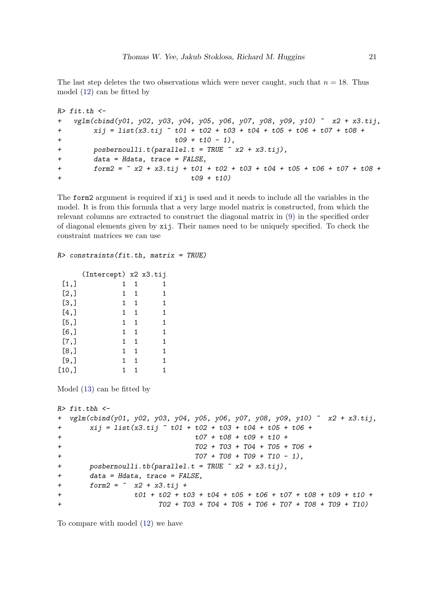The last step deletes the two observations which were never caught, such that  $n = 18$ . Thus model [\(12\)](#page-19-2) can be fitted by

```
R> fit.th <-
+ vglm(cbind(y01, y02, y03, y04, y05, y06, y07, y08, y09, y10) ~ x2 + x3.tij,
+ xij = list(x3. tij \text{ * } t01 + t02 + t03 + t04 + t05 + t06 + t07 + t08 +t09 + t10 - 1,
+ posbernoulli.t(parallel.t = TRUE ~ x2 + x3.tij),
       data = Hdata, trace = FALSE,+ form2 = \degree x2 + x3.tij + t01 + t02 + t03 + t04 + t05 + t06 + t07 + t08 +
+ t09 + t10)
```
The form2 argument is required if xij is used and it needs to include all the variables in the model. It is from this formula that a very large model matrix is constructed, from which the relevant columns are extracted to construct the diagonal matrix in [\(9\)](#page-8-1) in the specified order of diagonal elements given by xij. Their names need to be uniquely specified. To check the constraint matrices we can use

#### $R$ > constraints(fit.th, matrix = TRUE)

|         | (Intercept) x2 x3.tij |   |   |
|---------|-----------------------|---|---|
| [1,]    | 1                     | 1 | 1 |
| [2,]    | 1                     | 1 | 1 |
| [3,]    | 1                     | 1 | 1 |
| $[4,$ ] | 1.                    | 1 | 1 |
| [5,]    | 1                     | 1 | 1 |
| $[6,$ ] | 1                     | 1 | 1 |
| [7,]    | 1                     | 1 | 1 |
| [8,]    | 1                     | 1 | 1 |
| [9,     | 1                     | 1 | 1 |
| [10,]   |                       |   |   |

Model [\(13\)](#page-19-1) can be fitted by

```
R> fit.tbh <-
+ vglm(cbind(y01, y02, y03, y04, y05, y06, y07, y08, y09, y10) ~ x2 + x3.tij,
+ xij = list(x3.tij ~ t01 + t02 + t03 + t04 + t05 + t06 +
+ t07 + t08 + t09 + t10 +
+ T02 + T03 + T04 + T05 + T06 +
+ T07 + T08 + T09 + T10 - 1),
+ posbernoulli.tb(parallel.t = TRUE \tilde{z} x2 + x3.tij),
+ data = Hdata, trace = FALSE,
+ form2 = x2 + x3. \text{tij} ++ t01 + t02 + t03 + t04 + t05 + t06 + t07 + t08 + t09 + t10 +
+ T02 + T03 + T04 + T05 + T06 + T07 + T08 + T09 + T10)
```
To compare with model [\(12\)](#page-19-2) we have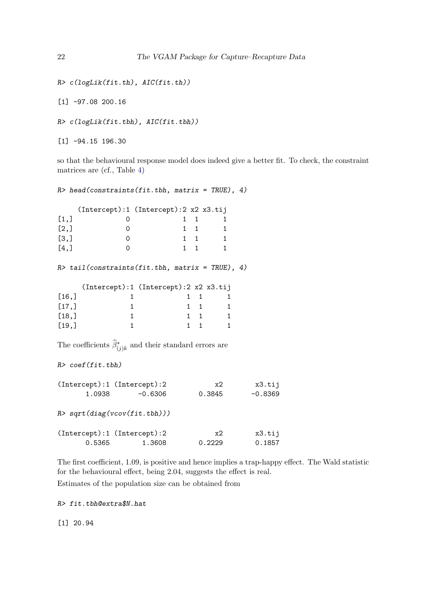```
R> c(logLik(fit.th), AIC(fit.th))
```
[1] -97.08 200.16

R> c(logLik(fit.tbh), AIC(fit.tbh))

[1] -94.15 196.30

so that the behavioural response model does indeed give a better fit. To check, the constraint matrices are (cf., Table [4\)](#page-11-1)

 $R$ > head(constraints(fit.tbh, matrix = TRUE), 4) (Intercept):1 (Intercept):2 x2 x3.tij  $[1,]$  0 1 1 1  $[2,]$  0 1 1 1  $[3,]$  0 1 1 1 [4,] 0 1 1 1  $R$ > tail(constraints(fit.tbh, matrix = TRUE), 4) (Intercept):1 (Intercept):2 x2 x3.tij  $[16,]$  1 1 1 1  $[17,]$  1 1 1 1  $[18,]$  1 1 1 1  $[19,]$  1 1 1 1 The coefficients  $\widehat{\beta}^*_{(j)k}$  and their standard errors are R> coef(fit.tbh) (Intercept):1 (Intercept):2 x2 x3.tij 1.0938 -0.6306 0.3845 -0.8369

R> sqrt(diag(vcov(fit.tbh))) (Intercept):1 (Intercept):2 x2 x3.tij 0.5365 1.3608 0.2229 0.1857

The first coefficient, 1.09, is positive and hence implies a trap-happy effect. The Wald statistic for the behavioural effect, being 2.04, suggests the effect is real. Estimates of the population size can be obtained from

R> fit.tbh@extra\$N.hat

[1] 20.94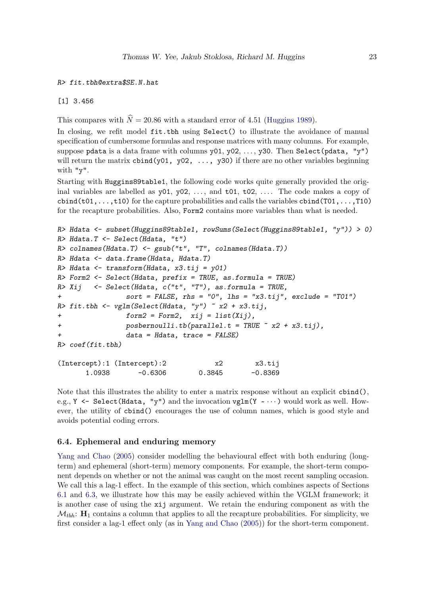R> fit.tbh@extra\$SE.N.hat

[1] 3.456

This compares with  $\hat{N} = 20.86$  with a standard error of 4.51 [\(Huggins](#page-26-2) [1989\)](#page-26-2).

In closing, we refit model fit.tbh using Select() to illustrate the avoidance of manual specification of cumbersome formulas and response matrices with many columns. For example, suppose pdata is a data frame with columns  $y01, y02, \ldots, y30$ . Then Select(pdata, "y") will return the matrix  $\text{cbind}(y01, y02, \ldots, y30)$  if there are no other variables beginning with "y".

Starting with Huggins89table1, the following code works quite generally provided the original variables are labelled as  $y01$ ,  $y02$ , ..., and  $t01$ ,  $t02$ , .... The code makes a copy of  $\text{cbind}(\text{t01},\ldots,\text{t10})$  for the capture probabilities and calls the variables  $\text{cbind}(\text{T01},\ldots,\text{T10})$ for the recapture probabilities. Also, Form2 contains more variables than what is needed.

```
R> Hdata <- subset(Huggins89table1, rowSums(Select(Huggins89table1, "y")) > 0)
R> Hdata.T <- Select(Hdata, "t")
R> colnames(Hdata.T) <- gsub("t", "T", colnames(Hdata.T))
R> Hdata <- data.frame(Hdata, Hdata.T)
R> Hdata <- transform(Hdata, x3.tij = v01)
R> Form2 <- Select(Hdata, prefix = TRUE, as.formula = TRUE)
R > Xij <- Select(Hdata, c("t", "T"), as.formula = TRUE,
+ sort = FALSE, rhs = "0", lhs = "x3.tij", exclude = "T01")
R> fit.tbh <- vglm(Select(Hdata, "y") ~ x2 + x3.tij,
+ form2 = Form2, xij = list(Xij),
+ posbernoulli.tb(parallel.t = TRUE ~ x2 + x3.tij),
+ data = Hdata, trace = FALSE)
R> coef(fit.tbh)
(Intercept):1 (Intercept):2 x2 x3.tij
      1.0938 -0.6306 0.3845 -0.8369
```
Note that this illustrates the ability to enter a matrix response without an explicit cbind(), e.g.,  $Y \leftarrow$  Select (Hdata, "y") and the invocation  $vglm(Y \sim \cdots)$  would work as well. However, the utility of cbind() encourages the use of column names, which is good style and avoids potential coding errors.

#### <span id="page-22-0"></span>6.4. Ephemeral and enduring memory

[Yang and Chao](#page-28-13) [\(2005\)](#page-28-13) consider modelling the behavioural effect with both enduring (longterm) and ephemeral (short-term) memory components. For example, the short-term component depends on whether or not the animal was caught on the most recent sampling occasion. We call this a lag-1 effect. In the example of this section, which combines aspects of Sections [6.1](#page-14-1) and [6.3,](#page-19-0) we illustrate how this may be easily achieved within the VGLM framework; it is another case of using the xij argument. We retain the enduring component as with the  $\mathcal{M}_{thh}$ :  $\mathbf{H}_1$  contains a column that applies to all the recapture probabilities. For simplicity, we first consider a lag-1 effect only (as in [Yang and Chao](#page-28-13) [\(2005\)](#page-28-13)) for the short-term component.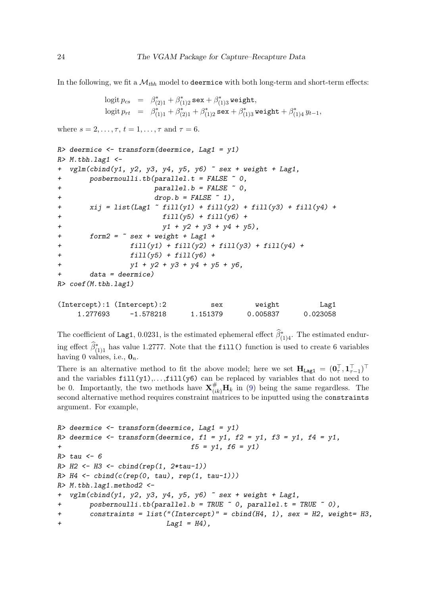In the following, we fit a  $\mathcal{M}_{bbh}$  model to deermice with both long-term and short-term effects:

```
\text{logit } p_{cs} = \beta_{(2)1}^* + \beta_{(1)2}^* \texttt{sex} + \beta_{(1)3}^* \texttt{weight},\text{logit}\ p_{rt} \;\; = \;\; \beta^*_{(1)1} + \beta^*_{(2)1} + \beta^*_{(1)2} \, \texttt{sex} + \beta^*_{(1)3} \, \texttt{weight} + \beta^*_{(1)4} \, y_{t-1},
```
where  $s = 2, \ldots, \tau, t = 1, \ldots, \tau$  and  $\tau = 6$ .

```
R> deermice \leftarrow transform(deermice, Lag1 = y1)
R > M.tbh.lag1 <-
+ vglm(cbind(y1, y2, y3, y4, y5, y6) \tilde{ } sex + weight + Lag1,
+ posbernoulli.tb(parallel.t = FALSE ~ 0,
+ parallel.b = FALSE ~ 0,
\text{drop.b} = \text{FALSE} \sim 1,
+ xij = list(Lag1 - fill(y1) + fill(y2) + fill(y3) + fill(y4) +fill(y5) + fill(y6) +y1 + y2 + y3 + y4 + y5,
+ form2 = \tilde{ } sex + weight + Lag1 +
+ fill(y1) + fill(y2) + fill(y3) + fill(y4) +
+ fill(y5) + fill(y6) +
+ y1 + y2 + y3 + y4 + y5 + y6,
+ data = deermice)
R> coef(M.tbh.lag1)
(Intercept):1 (Intercept):2 sex weight Lag1
    1.277693 -1.578218 1.151379 0.005837 0.023058
```
The coefficient of Lag1, 0.0231, is the estimated ephemeral effect  $\hat{\beta}^*_{(1)4}$ . The estimated enduring effect  $\widehat{\beta}_{(1)1}^*$  has value 1.2777. Note that the fill() function is used to create 6 variables having 0 values, i.e.,  $\mathbf{0}_n$ .

There is an alternative method to fit the above model; here we set  $\mathbf{H}_{\texttt{Lag1}} = (\mathbf{0}_\tau^\top, \mathbf{1}_{\tau-1}^\top)^\top$ and the variables  $fill(y1),... ,fill(y6)$  can be replaced by variables that do not need to be 0. Importantly, the two methods have  $\mathbf{X}_{(ik)}^{\#} \mathbf{H}_k$  in [\(9\)](#page-8-1) being the same regardless. The second alternative method requires constraint matrices to be inputted using the constraints argument. For example,

```
R deermice \leq transform (deermice, Lag1 = y1)
R> deermice \le transform(deermice, f1 = y1, f2 = y1, f3 = y1, f4 = y1,
f5 = y1, f6 = y1R> tau <- 6
R > H2 < - H3 < - cbind(rep(1, 2*tau-1))
R > H4 \leftarrow \text{cbind}(c(\text{rep}(0, \text{tau}), \text{rep}(1, \text{tau-1})))R> M.tbh.lag1.method2 <-
+ vglm(cbind(y1, y2, y3, y4, y5, y6) \tilde{ } sex + weight + Lag1,
+ posbernoulli.tb(parallel.b = TRUE ~ 0, parallel.t = TRUE ~ 0),
+ constraints = list("(Intercept)" = cbind(H4, 1), sex = H2, weight= H3,
+ Lag1 = H4),
```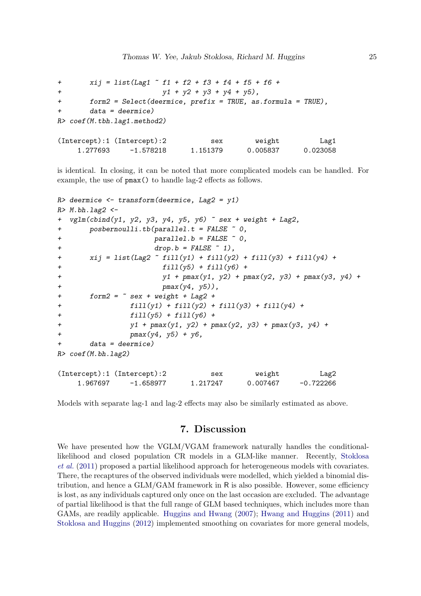```
+ xij = list(Lag1 - f1 + f2 + f3 + f4 + f5 + f6 + f6)+ y1 + y2 + y3 + y4 + y5,
+ form2 = Select(deermice, prefix = TRUE, as.formula = TRUE),
      data = determine)R> coef(M.tbh.lag1.method2)
(Intercept):1 (Intercept):2 sex weight Lag1
```
is identical. In closing, it can be noted that more complicated models can be handled. For example, the use of pmax() to handle lag-2 effects as follows.

1.277693 -1.578218 1.151379 0.005837 0.023058

```
R> deermice \leftarrow transform(deermice, Lag2 = y1)
R > M.bh.lag2 <-
+ vglm(clind(y1, y2, y3, y4, y5, y6) \tilde{ } sex + weight + Lag2,
+ posbernoulli.tb(parallel.t = FALSE ~ 0,
+ parallel.b = FALSE ~ 0,
\text{drop.b = FALSE } \sim 1),+ xij = list(Lag2 ~ fill(y1) + fill(y2) + fill(y3) + fill(y4) +
+ fill(y5) + fill(y6) +
+ y1 + pmax(y1, y2) + pmax(y2, y3) + pmax(y3, y4) + pmax(y4, y5)pmax(y4, y5),
+ form2 = \degree sex + weight + Lag2 +
              fill(y1) + fill(y2) + fill(y3) + fill(y4) ++ fill(y5) + fill(y6) +
+ y1 + pmax(y1, y2) + pmax(y2, y3) + pmax(y3, y4) +
+ pmax(y4, y5) + y6,
+ data = deermice)
R> coef(M.bh.lag2)
(Intercept):1 (Intercept):2 sex weight Lag2
    1.967697 -1.658977 1.217247 0.007467 -0.722266
```
Models with separate lag-1 and lag-2 effects may also be similarly estimated as above.

### 7. Discussion

<span id="page-24-0"></span>We have presented how the VGLM/VGAM framework naturally handles the conditionallikelihood and closed population CR models in a GLM-like manner. Recently, [Stoklosa](#page-28-14) [et al.](#page-28-14) [\(2011\)](#page-28-14) proposed a partial likelihood approach for heterogeneous models with covariates. There, the recaptures of the observed individuals were modelled, which yielded a binomial distribution, and hence a  $GLM/GAM$  framework in  $R$  is also possible. However, some efficiency is lost, as any individuals captured only once on the last occasion are excluded. The advantage of partial likelihood is that the full range of GLM based techniques, which includes more than GAMs, are readily applicable. [Huggins and Hwang](#page-26-11) [\(2007\)](#page-26-11); [Hwang and Huggins](#page-27-12) [\(2011\)](#page-27-12) and [Stoklosa and Huggins](#page-28-4) [\(2012\)](#page-28-4) implemented smoothing on covariates for more general models,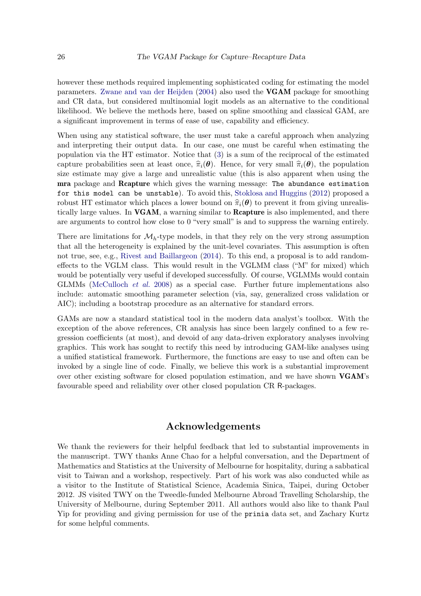however these methods required implementing sophisticated coding for estimating the model parameters. [Zwane and van der Heijden](#page-28-15) [\(2004\)](#page-28-15) also used the VGAM package for smoothing and CR data, but considered multinomial logit models as an alternative to the conditional likelihood. We believe the methods here, based on spline smoothing and classical GAM, are a significant improvement in terms of ease of use, capability and efficiency.

When using any statistical software, the user must take a careful approach when analyzing and interpreting their output data. In our case, one must be careful when estimating the population via the HT estimator. Notice that [\(3\)](#page-5-1) is a sum of the reciprocal of the estimated capture probabilities seen at least once,  $\hat{\pi}_i(\theta)$ . Hence, for very small  $\hat{\pi}_i(\theta)$ , the population size estimate may give a large and unrealistic value (this is also apparent when using the mra package and Rcapture which gives the warning message: The abundance estimation for this model can be unstable). To avoid this, [Stoklosa and Huggins](#page-28-4) [\(2012\)](#page-28-4) proposed a robust HT estimator which places a lower bound on  $\hat{\pi}_i(\theta)$  to prevent it from giving unrealistically large values. In VGAM, a warning similar to Rcapture is also implemented, and there are arguments to control how close to 0 "very small" is and to suppress the warning entirely.

There are limitations for  $\mathcal{M}_h$ -type models, in that they rely on the very strong assumption that all the heterogeneity is explained by the unit-level covariates. This assumption is often not true, see, e.g., [Rivest and Baillargeon](#page-28-16) [\(2014\)](#page-28-16). To this end, a proposal is to add randomeffects to the VGLM class. This would result in the VGLMM class ("M" for mixed) which would be potentially very useful if developed successfully. Of course, VGLMMs would contain GLMMs [\(McCulloch](#page-27-14) et al. [2008\)](#page-27-14) as a special case. Further future implementations also include: automatic smoothing parameter selection (via, say, generalized cross validation or AIC); including a bootstrap procedure as an alternative for standard errors.

GAMs are now a standard statistical tool in the modern data analyst's toolbox. With the exception of the above references, CR analysis has since been largely confined to a few regression coefficients (at most), and devoid of any data-driven exploratory analyses involving graphics. This work has sought to rectify this need by introducing GAM-like analyses using a unified statistical framework. Furthermore, the functions are easy to use and often can be invoked by a single line of code. Finally, we believe this work is a substantial improvement over other existing software for closed population estimation, and we have shown VGAM's favourable speed and reliability over other closed population CR R-packages.

### Acknowledgements

We thank the reviewers for their helpful feedback that led to substantial improvements in the manuscript. TWY thanks Anne Chao for a helpful conversation, and the Department of Mathematics and Statistics at the University of Melbourne for hospitality, during a sabbatical visit to Taiwan and a workshop, respectively. Part of his work was also conducted while as a visitor to the Institute of Statistical Science, Academia Sinica, Taipei, during October 2012. JS visited TWY on the Tweedle-funded Melbourne Abroad Travelling Scholarship, the University of Melbourne, during September 2011. All authors would also like to thank Paul Yip for providing and giving permission for use of the prinia data set, and Zachary Kurtz for some helpful comments.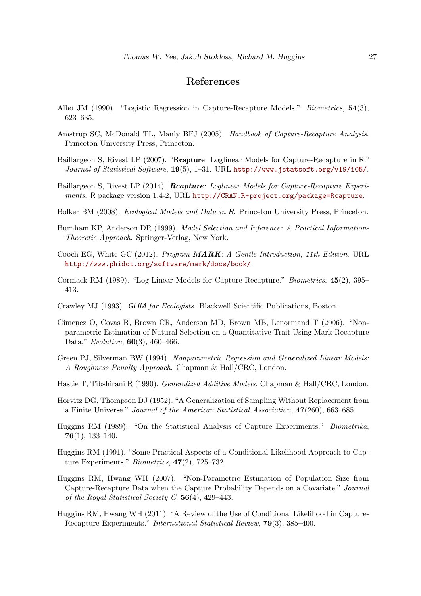### References

- <span id="page-26-3"></span>Alho JM (1990). "Logistic Regression in Capture-Recapture Models." Biometrics, 54(3), 623–635.
- <span id="page-26-1"></span>Amstrup SC, McDonald TL, Manly BFJ (2005). Handbook of Capture-Recapture Analysis. Princeton University Press, Princeton.
- <span id="page-26-6"></span>Baillargeon S, Rivest LP (2007). "Rcapture: Loglinear Models for Capture-Recapture in R." Journal of Statistical Software, 19(5), 1–31. URL <http://www.jstatsoft.org/v19/i05/>.
- <span id="page-26-5"></span>Baillargeon S, Rivest LP (2014). **Reapture**: Loglinear Models for Capture-Recapture Experiments. R package version 1.4-2, URL <http://CRAN.R-project.org/package=Rcapture>.
- <span id="page-26-10"></span>Bolker BM (2008). Ecological Models and Data in R. Princeton University Press, Princeton.
- <span id="page-26-13"></span>Burnham KP, Anderson DR (1999). Model Selection and Inference: A Practical Information-Theoretic Approach. Springer-Verlag, New York.
- <span id="page-26-4"></span>Cooch EG, White GC (2012). Program MARK: A Gentle Introduction, 11th Edition. URL <http://www.phidot.org/software/mark/docs/book/>.
- <span id="page-26-7"></span>Cormack RM (1989). "Log-Linear Models for Capture-Recapture." Biometrics, 45(2), 395– 413.
- <span id="page-26-8"></span>Crawley MJ (1993). GLIM for Ecologists. Blackwell Scientific Publications, Boston.
- <span id="page-26-9"></span>Gimenez O, Covas R, Brown CR, Anderson MD, Brown MB, Lenormand T (2006). "Nonparametric Estimation of Natural Selection on a Quantitative Trait Using Mark-Recapture Data." Evolution, **60**(3), 460–466.
- <span id="page-26-16"></span>Green PJ, Silverman BW (1994). Nonparametric Regression and Generalized Linear Models: A Roughness Penalty Approach. Chapman & Hall/CRC, London.
- <span id="page-26-12"></span>Hastie T, Tibshirani R (1990). Generalized Additive Models. Chapman & Hall/CRC, London.
- <span id="page-26-15"></span>Horvitz DG, Thompson DJ (1952). "A Generalization of Sampling Without Replacement from a Finite Universe." Journal of the American Statistical Association, 47(260), 663–685.
- <span id="page-26-2"></span>Huggins RM (1989). "On the Statistical Analysis of Capture Experiments." Biometrika, 76(1), 133–140.
- <span id="page-26-14"></span>Huggins RM (1991). "Some Practical Aspects of a Conditional Likelihood Approach to Capture Experiments." Biometrics, 47(2), 725–732.
- <span id="page-26-11"></span>Huggins RM, Hwang WH (2007). "Non-Parametric Estimation of Population Size from Capture-Recapture Data when the Capture Probability Depends on a Covariate." Journal of the Royal Statistical Society C,  $56(4)$ , 429-443.
- <span id="page-26-0"></span>Huggins RM, Hwang WH (2011). "A Review of the Use of Conditional Likelihood in Capture-Recapture Experiments." International Statistical Review, 79(3), 385–400.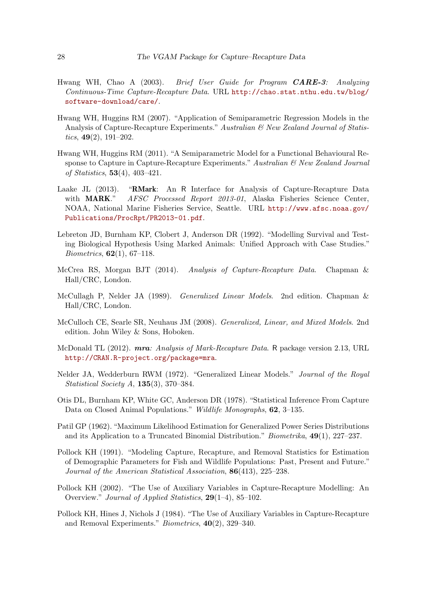- <span id="page-27-7"></span>Hwang WH, Chao A (2003). Brief User Guide for Program **CARE-3**: Analyzing Continuous-Time Capture-Recapture Data. URL [http://chao.stat.nthu.edu.tw/blog/](http://chao.stat.nthu.edu.tw/blog/software-download/care/) [software-download/care/](http://chao.stat.nthu.edu.tw/blog/software-download/care/).
- <span id="page-27-13"></span>Hwang WH, Huggins RM (2007). "Application of Semiparametric Regression Models in the Analysis of Capture-Recapture Experiments." Australian & New Zealand Journal of Statistics,  $49(2)$ ,  $191-202$ .
- <span id="page-27-12"></span>Hwang WH, Huggins RM (2011). "A Semiparametric Model for a Functional Behavioural Response to Capture in Capture-Recapture Experiments." Australian & New Zealand Journal of Statistics, 53(4), 403–421.
- <span id="page-27-9"></span>Laake JL (2013). "RMark: An R Interface for Analysis of Capture-Recapture Data with **MARK**." *AFSC Processed Report 2013-01*, Alaska Fisheries Science Center, NOAA, National Marine Fisheries Service, Seattle. URL [http://www.afsc.noaa.gov/](http://www.afsc.noaa.gov/Publications/ProcRpt/PR2013-01.pdf) [Publications/ProcRpt/PR2013-01.pdf](http://www.afsc.noaa.gov/Publications/ProcRpt/PR2013-01.pdf).
- <span id="page-27-5"></span>Lebreton JD, Burnham KP, Clobert J, Anderson DR (1992). "Modelling Survival and Testing Biological Hypothesis Using Marked Animals: Unified Approach with Case Studies." Biometrics, 62(1), 67–118.
- <span id="page-27-3"></span>McCrea RS, Morgan BJT (2014). Analysis of Capture-Recapture Data. Chapman & Hall/CRC, London.
- <span id="page-27-6"></span>McCullagh P, Nelder JA (1989). Generalized Linear Models. 2nd edition. Chapman & Hall/CRC, London.
- <span id="page-27-14"></span>McCulloch CE, Searle SR, Neuhaus JM (2008). Generalized, Linear, and Mixed Models. 2nd edition. John Wiley & Sons, Hoboken.
- <span id="page-27-8"></span>McDonald TL (2012). **mra:** Analysis of Mark-Recapture Data. R package version 2.13, URL <http://CRAN.R-project.org/package=mra>.
- <span id="page-27-11"></span>Nelder JA, Wedderburn RWM (1972). "Generalized Linear Models." Journal of the Royal Statistical Society A, 135(3), 370–384.
- <span id="page-27-0"></span>Otis DL, Burnham KP, White GC, Anderson DR (1978). "Statistical Inference From Capture Data on Closed Animal Populations." Wildlife Monographs, **62**, 3-135.
- <span id="page-27-10"></span>Patil GP (1962). "Maximum Likelihood Estimation for Generalized Power Series Distributions and its Application to a Truncated Binomial Distribution." *Biometrika*,  $49(1)$ ,  $227-237$ .
- <span id="page-27-1"></span>Pollock KH (1991). "Modeling Capture, Recapture, and Removal Statistics for Estimation of Demographic Parameters for Fish and Wildlife Populations: Past, Present and Future." Journal of the American Statistical Association, 86(413), 225–238.
- <span id="page-27-2"></span>Pollock KH (2002). "The Use of Auxiliary Variables in Capture-Recapture Modelling: An Overview." Journal of Applied Statistics, 29(1–4), 85–102.
- <span id="page-27-4"></span>Pollock KH, Hines J, Nichols J (1984). "The Use of Auxiliary Variables in Capture-Recapture and Removal Experiments." Biometrics, 40(2), 329–340.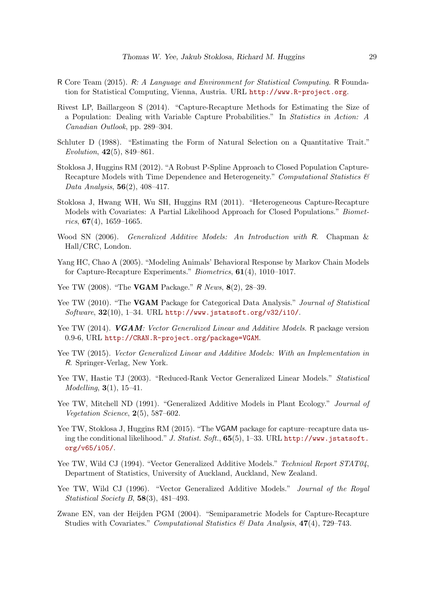- <span id="page-28-1"></span>R Core Team (2015). R: A Language and Environment for Statistical Computing. R Foundation for Statistical Computing, Vienna, Austria. URL <http://www.R-project.org>.
- <span id="page-28-16"></span>Rivest LP, Baillargeon S (2014). "Capture-Recapture Methods for Estimating the Size of a Population: Dealing with Variable Capture Probabilities." In Statistics in Action: A Canadian Outlook, pp. 289–304.
- <span id="page-28-2"></span>Schluter D (1988). "Estimating the Form of Natural Selection on a Quantitative Trait." Evolution, 42(5), 849–861.
- <span id="page-28-4"></span>Stoklosa J, Huggins RM (2012). "A Robust P-Spline Approach to Closed Population Capture-Recapture Models with Time Dependence and Heterogeneity." Computational Statistics & Data Analysis,  $56(2)$ ,  $408-417$ .
- <span id="page-28-14"></span>Stoklosa J, Hwang WH, Wu SH, Huggins RM (2011). "Heterogeneous Capture-Recapture Models with Covariates: A Partial Likelihood Approach for Closed Populations." Biometrics,  $67(4)$ , 1659–1665.
- <span id="page-28-5"></span>Wood SN (2006). Generalized Additive Models: An Introduction with R. Chapman & Hall/CRC, London.
- <span id="page-28-13"></span>Yang HC, Chao A (2005). "Modeling Animals' Behavioral Response by Markov Chain Models for Capture-Recapture Experiments." Biometrics, 61(4), 1010–1017.
- <span id="page-28-8"></span>Yee TW (2008). "The **VGAM** Package." R News, 8(2), 28-39.
- <span id="page-28-9"></span>Yee TW (2010). "The **VGAM** Package for Categorical Data Analysis." Journal of Statistical Software, 32(10), 1–34. URL <http://www.jstatsoft.org/v32/i10/>.
- <span id="page-28-10"></span>Yee TW (2014). VGAM: Vector Generalized Linear and Additive Models. R package version 0.9-6, URL <http://CRAN.R-project.org/package=VGAM>.
- <span id="page-28-11"></span>Yee TW (2015). Vector Generalized Linear and Additive Models: With an Implementation in R. Springer-Verlag, New York.
- <span id="page-28-7"></span>Yee TW, Hastie TJ (2003). "Reduced-Rank Vector Generalized Linear Models." Statistical Modelling, 3(1), 15–41.
- <span id="page-28-3"></span>Yee TW, Mitchell ND (1991). "Generalized Additive Models in Plant Ecology." Journal of Vegetation Science, 2(5), 587–602.
- <span id="page-28-0"></span>Yee TW, Stoklosa J, Huggins RM (2015). "The VGAM package for capture–recapture data using the conditional likelihood." J. Statist. Soft., 65(5), 1–33. URL [http://www.jstatsoft.](http://www.jstatsoft.org/v65/i05/) [org/v65/i05/](http://www.jstatsoft.org/v65/i05/).
- <span id="page-28-12"></span>Yee TW, Wild CJ (1994). "Vector Generalized Additive Models." Technical Report STAT04, Department of Statistics, University of Auckland, Auckland, New Zealand.
- <span id="page-28-6"></span>Yee TW, Wild CJ (1996). "Vector Generalized Additive Models." Journal of the Royal Statistical Society B, 58(3), 481–493.
- <span id="page-28-15"></span>Zwane EN, van der Heijden PGM (2004). "Semiparametric Models for Capture-Recapture Studies with Covariates." Computational Statistics & Data Analysis, 47(4), 729–743.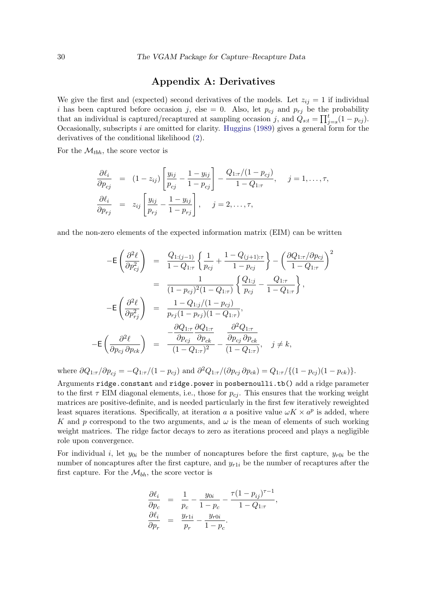### Appendix A: Derivatives

We give the first and (expected) second derivatives of the models. Let  $z_{ij} = 1$  if individual i has been captured before occasion j, else = 0. Also, let  $p_{cj}$  and  $p_{rj}$  be the probability that an individual is captured/recaptured at sampling occasion j, and  $\tilde{Q}_{s:t} = \prod_{j=s}^{t} (1 - p_{cj})$ . Occasionally, subscripts i are omitted for clarity. [Huggins](#page-26-2) [\(1989\)](#page-26-2) gives a general form for the derivatives of the conditional likelihood [\(2\)](#page-3-2).

For the  $\mathcal{M}_{tbh}$ , the score vector is

$$
\frac{\partial \ell_i}{\partial p_{cj}} = (1 - z_{ij}) \left[ \frac{y_{ij}}{p_{cj}} - \frac{1 - y_{ij}}{1 - p_{cj}} \right] - \frac{Q_{1:\tau}/(1 - p_{cj})}{1 - Q_{1:\tau}}, \quad j = 1, \dots, \tau,
$$
  

$$
\frac{\partial \ell_i}{\partial p_{rj}} = z_{ij} \left[ \frac{y_{ij}}{p_{rj}} - \frac{1 - y_{ij}}{1 - p_{rj}} \right], \quad j = 2, \dots, \tau,
$$

and the non-zero elements of the expected information matrix (EIM) can be written

$$
-E\left(\frac{\partial^2 \ell}{\partial p_{cj}^2}\right) = \frac{Q_{1:(j-1)}}{1 - Q_{1:\tau}} \left\{\frac{1}{p_{cj}} + \frac{1 - Q_{(j+1):\tau}}{1 - p_{cj}}\right\} - \left(\frac{\partial Q_{1:\tau}/\partial p_{cj}}{1 - Q_{1:\tau}}\right)^2
$$

$$
= \frac{1}{(1 - p_{cj})^2 (1 - Q_{1:\tau})} \left\{\frac{Q_{1:j}}{p_{cj}} - \frac{Q_{1:\tau}}{1 - Q_{1:\tau}}\right\},
$$

$$
-E\left(\frac{\partial^2 \ell}{\partial p_{rj}^2}\right) = \frac{1 - Q_{1:j}/(1 - p_{cj})}{p_{rj}(1 - p_{rj})(1 - Q_{1:\tau})},
$$

$$
-E\left(\frac{\partial^2 \ell}{\partial p_{cj}\partial p_{ck}}\right) = \frac{-\frac{\partial Q_{1:\tau}}{\partial p_{cj}} \frac{\partial Q_{1:\tau}}{\partial p_{ck}}}{(1 - Q_{1:\tau})^2} - \frac{\frac{\partial^2 Q_{1:\tau}}{\partial p_{cj}\partial p_{ck}}}{(1 - Q_{1:\tau})}, \quad j \neq k,
$$

where  $\partial Q_{1:\tau}/\partial p_{cj} = -Q_{1:\tau}/(1-p_{cj})$  and  $\partial^2 Q_{1:\tau}/(\partial p_{cj} \partial p_{ck}) = Q_{1:\tau}/\{(1-p_{cj})(1-p_{ck})\}.$ 

Arguments ridge.constant and ridge.power in posbernoulli.tb() add a ridge parameter to the first  $\tau$  EIM diagonal elements, i.e., those for  $p_{ci}$ . This ensures that the working weight matrices are positive-definite, and is needed particularly in the first few iteratively reweighted least squares iterations. Specifically, at iteration a a positive value  $\omega K \times a^p$  is added, where K and p correspond to the two arguments, and  $\omega$  is the mean of elements of such working weight matrices. The ridge factor decays to zero as iterations proceed and plays a negligible role upon convergence.

For individual i, let  $y_{0i}$  be the number of noncaptures before the first capture,  $y_{r0i}$  be the number of noncaptures after the first capture, and  $y_{r1i}$  be the number of recaptures after the first capture. For the  $\mathcal{M}_{bh}$ , the score vector is

$$
\frac{\partial \ell_i}{\partial p_c} = \frac{1}{p_c} - \frac{y_{0i}}{1 - p_c} - \frac{\tau (1 - p_{ij})^{\tau - 1}}{1 - Q_{1:\tau}},
$$
  

$$
\frac{\partial \ell_i}{\partial p_r} = \frac{y_{r1i}}{p_r} - \frac{y_{r0i}}{1 - p_c}.
$$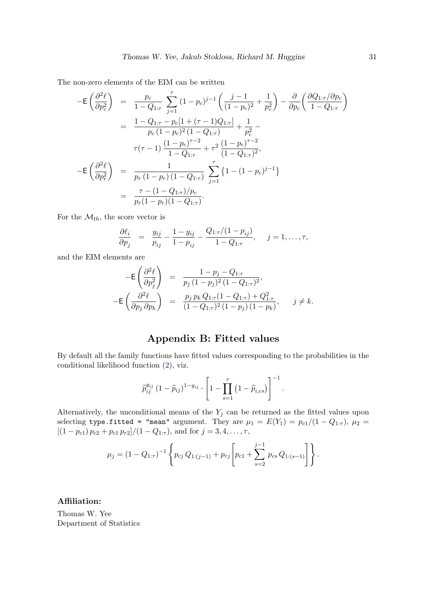The non-zero elements of the EIM can be written

$$
-E\left(\frac{\partial^2 \ell}{\partial p_c^2}\right) = \frac{p_c}{1 - Q_{1:\tau}} \sum_{j=1}^{\tau} (1 - p_c)^{j-1} \left(\frac{j-1}{(1 - p_c)^2} + \frac{1}{p_c^2}\right) - \frac{\partial}{\partial p_c} \left(\frac{\partial Q_{1:\tau}/\partial p_c}{1 - Q_{1:\tau}}\right)
$$
  
\n
$$
= \frac{1 - Q_{1:\tau} - p_c[1 + (\tau - 1)Q_{1:\tau}]}{p_c(1 - p_c)^2(1 - Q_{1:\tau})} + \frac{1}{p_c^2} - \frac{\tau}{\tau(\tau - 1)} \frac{(1 - p_c)^{\tau - 2}}{1 - Q_{1:\tau}} + \tau^2 \frac{(1 - p_c)^{\tau - 2}}{(1 - Q_{1:\tau})^2},
$$
  
\n
$$
-E\left(\frac{\partial^2 \ell}{\partial p_r^2}\right) = \frac{1}{p_r(1 - p_r)(1 - Q_{1:\tau})} \sum_{j=1}^{\tau} \left\{1 - (1 - p_c)^{j-1}\right\}
$$
  
\n
$$
= \frac{\tau - (1 - Q_{1:\tau})/p_c}{p_r(1 - p_r)(1 - Q_{1:\tau})}.
$$

For the  $\mathcal{M}_{th}$ , the score vector is

−E

$$
\frac{\partial \ell_i}{\partial p_j} = \frac{y_{ij}}{p_{ij}} - \frac{1 - y_{ij}}{1 - p_{ij}} - \frac{Q_{1:\tau}/(1 - p_{ij})}{1 - Q_{1:\tau}}, \quad j = 1, \dots, \tau,
$$

and the EIM elements are

$$
-E\left(\frac{\partial^2 \ell}{\partial p_j^2}\right) = \frac{1 - p_j - Q_{1:\tau}}{p_j (1 - p_j)^2 (1 - Q_{1:\tau})^2},
$$
  

$$
-E\left(\frac{\partial^2 \ell}{\partial p_j \partial p_k}\right) = \frac{p_j p_k Q_{1:\tau} (1 - Q_{1:\tau}) + Q_{1:\tau}^2}{(1 - Q_{1:\tau})^2 (1 - p_j) (1 - p_k)}, \quad j \neq k.
$$

## Appendix B: Fitted values

By default all the family functions have fitted values corresponding to the probabilities in the conditional likelihood function [\(2\)](#page-3-2), viz.

$$
\widehat{p}_{ij}^{y_{ij}} (1 - \widehat{p}_{ij})^{1 - y_{ij}} \cdot \left[ 1 - \prod_{s=1}^{\tau} (1 - \widehat{p}_{i,cs}) \right]^{-1}.
$$

Alternatively, the unconditional means of the  $Y_j$  can be returned as the fitted values upon selecting type.fitted = "mean" argument. They are  $\mu_1 = E(Y_1) = p_{c1}/(1 - Q_{1:\tau}), \mu_2 =$  $[(1-p_{c1}) p_{c2} + p_{c1} p_{r2}]/(1-Q_{1:\tau})$ , and for  $j=3,4,\ldots,\tau$ ,

$$
\mu_j = (1 - Q_{1:\tau})^{-1} \left\{ p_{cj} Q_{1:(j-1)} + p_{rj} \left[ p_{c1} + \sum_{s=2}^{j-1} p_{cs} Q_{1:(s-1)} \right] \right\}.
$$

### Affiliation:

Thomas W. Yee Department of Statistics